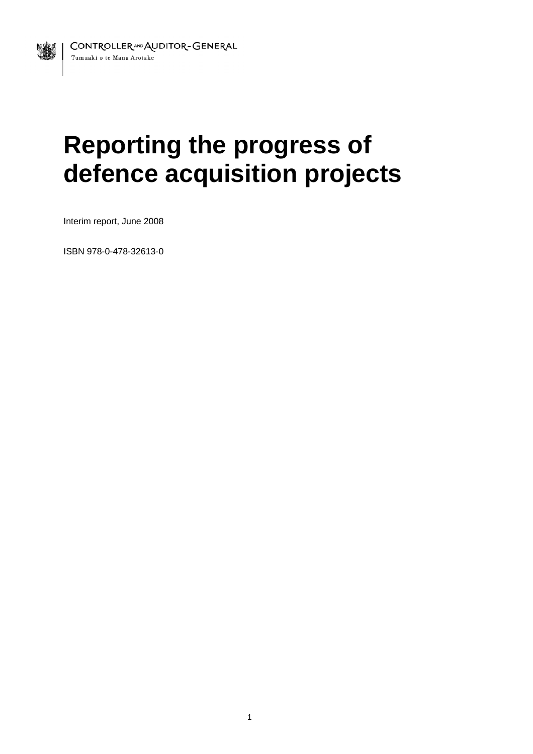# **Reporting the progress of defence acquisition projects**

Interim report, June 2008

1

ISBN 978-0-478-32613-0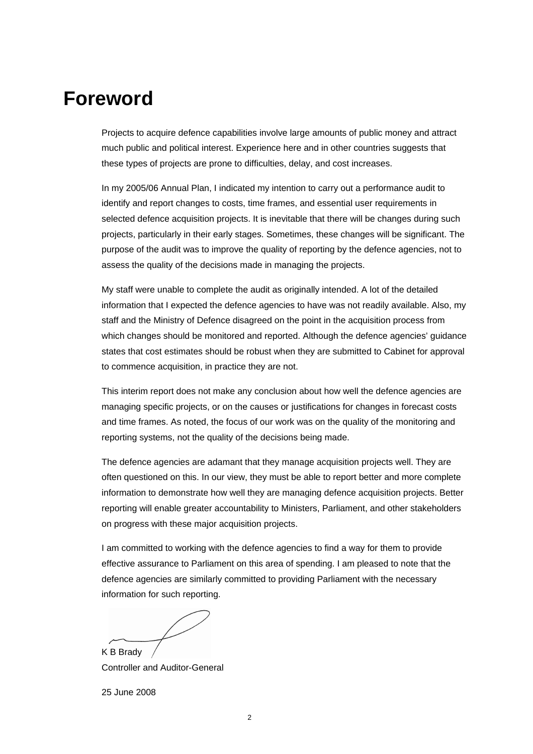# **Foreword**

Projects to acquire defence capabilities involve large amounts of public money and attract much public and political interest. Experience here and in other countries suggests that these types of projects are prone to difficulties, delay, and cost increases.

In my 2005/06 Annual Plan, I indicated my intention to carry out a performance audit to identify and report changes to costs, time frames, and essential user requirements in selected defence acquisition projects. It is inevitable that there will be changes during such projects, particularly in their early stages. Sometimes, these changes will be significant. The purpose of the audit was to improve the quality of reporting by the defence agencies, not to assess the quality of the decisions made in managing the projects.

My staff were unable to complete the audit as originally intended. A lot of the detailed information that I expected the defence agencies to have was not readily available. Also, my staff and the Ministry of Defence disagreed on the point in the acquisition process from which changes should be monitored and reported. Although the defence agencies' guidance states that cost estimates should be robust when they are submitted to Cabinet for approval to commence acquisition, in practice they are not.

This interim report does not make any conclusion about how well the defence agencies are managing specific projects, or on the causes or justifications for changes in forecast costs and time frames. As noted, the focus of our work was on the quality of the monitoring and reporting systems, not the quality of the decisions being made.

The defence agencies are adamant that they manage acquisition projects well. They are often questioned on this. In our view, they must be able to report better and more complete information to demonstrate how well they are managing defence acquisition projects. Better reporting will enable greater accountability to Ministers, Parliament, and other stakeholders on progress with these major acquisition projects.

I am committed to working with the defence agencies to find a way for them to provide effective assurance to Parliament on this area of spending. I am pleased to note that the defence agencies are similarly committed to providing Parliament with the necessary information for such reporting.

K B Brady

Controller and Auditor-General

25 June 2008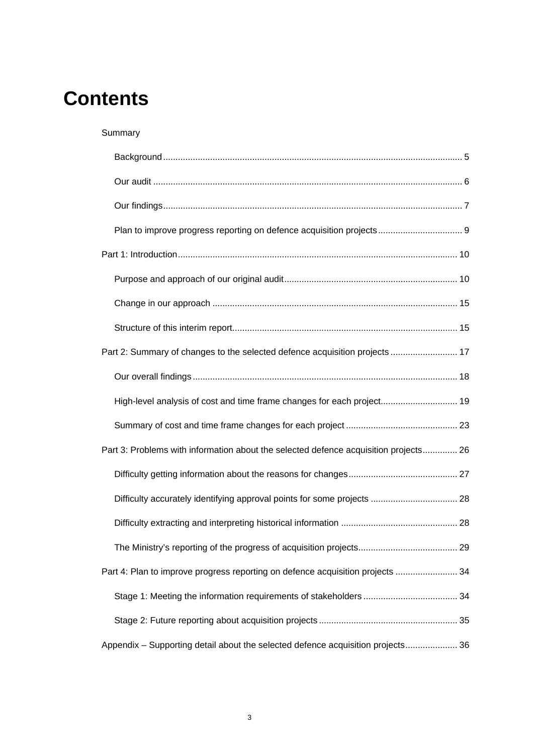# **Contents**

Summary

| Part 2: Summary of changes to the selected defence acquisition projects  17          |  |
|--------------------------------------------------------------------------------------|--|
|                                                                                      |  |
| High-level analysis of cost and time frame changes for each project 19               |  |
|                                                                                      |  |
| Part 3: Problems with information about the selected defence acquisition projects 26 |  |
|                                                                                      |  |
| Difficulty accurately identifying approval points for some projects  28              |  |
|                                                                                      |  |
|                                                                                      |  |
| Part 4: Plan to improve progress reporting on defence acquisition projects  34       |  |
|                                                                                      |  |
|                                                                                      |  |
| Appendix - Supporting detail about the selected defence acquisition projects 36      |  |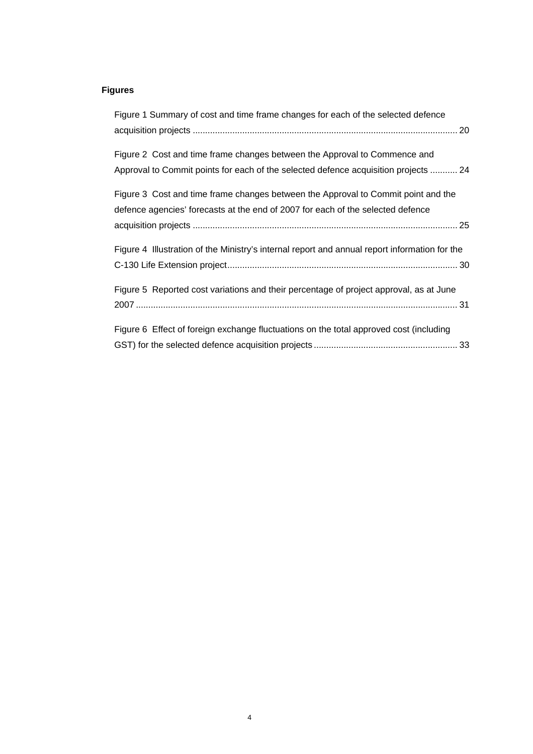## **Figures**

| Figure 1 Summary of cost and time frame changes for each of the selected defence              |
|-----------------------------------------------------------------------------------------------|
|                                                                                               |
|                                                                                               |
| Figure 2 Cost and time frame changes between the Approval to Commence and                     |
| Approval to Commit points for each of the selected defence acquisition projects  24           |
| Figure 3 Cost and time frame changes between the Approval to Commit point and the             |
| defence agencies' forecasts at the end of 2007 for each of the selected defence               |
|                                                                                               |
| Figure 4 Illustration of the Ministry's internal report and annual report information for the |
|                                                                                               |
|                                                                                               |
| Figure 5 Reported cost variations and their percentage of project approval, as at June        |
|                                                                                               |
|                                                                                               |
| Figure 6 Effect of foreign exchange fluctuations on the total approved cost (including        |
|                                                                                               |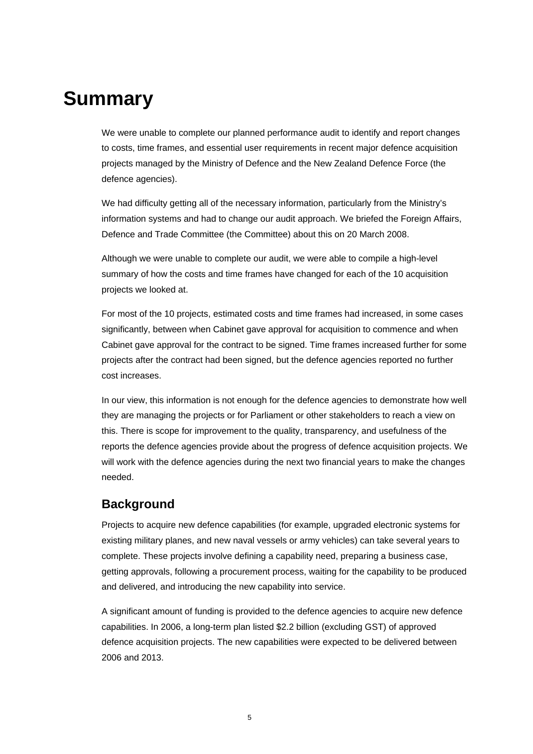# **Summary**

We were unable to complete our planned performance audit to identify and report changes to costs, time frames, and essential user requirements in recent major defence acquisition projects managed by the Ministry of Defence and the New Zealand Defence Force (the defence agencies).

We had difficulty getting all of the necessary information, particularly from the Ministry's information systems and had to change our audit approach. We briefed the Foreign Affairs, Defence and Trade Committee (the Committee) about this on 20 March 2008.

Although we were unable to complete our audit, we were able to compile a high-level summary of how the costs and time frames have changed for each of the 10 acquisition projects we looked at.

For most of the 10 projects, estimated costs and time frames had increased, in some cases significantly, between when Cabinet gave approval for acquisition to commence and when Cabinet gave approval for the contract to be signed. Time frames increased further for some projects after the contract had been signed, but the defence agencies reported no further cost increases.

In our view, this information is not enough for the defence agencies to demonstrate how well they are managing the projects or for Parliament or other stakeholders to reach a view on this. There is scope for improvement to the quality, transparency, and usefulness of the reports the defence agencies provide about the progress of defence acquisition projects. We will work with the defence agencies during the next two financial years to make the changes needed.

## **Background**

Projects to acquire new defence capabilities (for example, upgraded electronic systems for existing military planes, and new naval vessels or army vehicles) can take several years to complete. These projects involve defining a capability need, preparing a business case, getting approvals, following a procurement process, waiting for the capability to be produced and delivered, and introducing the new capability into service.

A significant amount of funding is provided to the defence agencies to acquire new defence capabilities. In 2006, a long-term plan listed \$2.2 billion (excluding GST) of approved defence acquisition projects. The new capabilities were expected to be delivered between 2006 and 2013.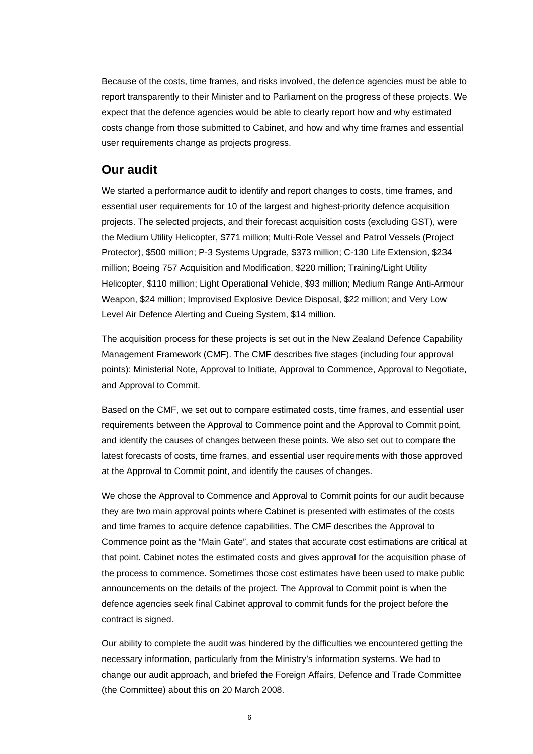Because of the costs, time frames, and risks involved, the defence agencies must be able to report transparently to their Minister and to Parliament on the progress of these projects. We expect that the defence agencies would be able to clearly report how and why estimated costs change from those submitted to Cabinet, and how and why time frames and essential user requirements change as projects progress.

### **Our audit**

We started a performance audit to identify and report changes to costs, time frames, and essential user requirements for 10 of the largest and highest-priority defence acquisition projects. The selected projects, and their forecast acquisition costs (excluding GST), were the Medium Utility Helicopter, \$771 million; Multi-Role Vessel and Patrol Vessels (Project Protector), \$500 million; P-3 Systems Upgrade, \$373 million; C-130 Life Extension, \$234 million; Boeing 757 Acquisition and Modification, \$220 million; Training/Light Utility Helicopter, \$110 million; Light Operational Vehicle, \$93 million; Medium Range Anti-Armour Weapon, \$24 million; Improvised Explosive Device Disposal, \$22 million; and Very Low Level Air Defence Alerting and Cueing System, \$14 million.

The acquisition process for these projects is set out in the New Zealand Defence Capability Management Framework (CMF). The CMF describes five stages (including four approval points): Ministerial Note, Approval to Initiate, Approval to Commence, Approval to Negotiate, and Approval to Commit.

Based on the CMF, we set out to compare estimated costs, time frames, and essential user requirements between the Approval to Commence point and the Approval to Commit point, and identify the causes of changes between these points. We also set out to compare the latest forecasts of costs, time frames, and essential user requirements with those approved at the Approval to Commit point, and identify the causes of changes.

We chose the Approval to Commence and Approval to Commit points for our audit because they are two main approval points where Cabinet is presented with estimates of the costs and time frames to acquire defence capabilities. The CMF describes the Approval to Commence point as the "Main Gate", and states that accurate cost estimations are critical at that point. Cabinet notes the estimated costs and gives approval for the acquisition phase of the process to commence. Sometimes those cost estimates have been used to make public announcements on the details of the project. The Approval to Commit point is when the defence agencies seek final Cabinet approval to commit funds for the project before the contract is signed.

Our ability to complete the audit was hindered by the difficulties we encountered getting the necessary information, particularly from the Ministry's information systems. We had to change our audit approach, and briefed the Foreign Affairs, Defence and Trade Committee (the Committee) about this on 20 March 2008.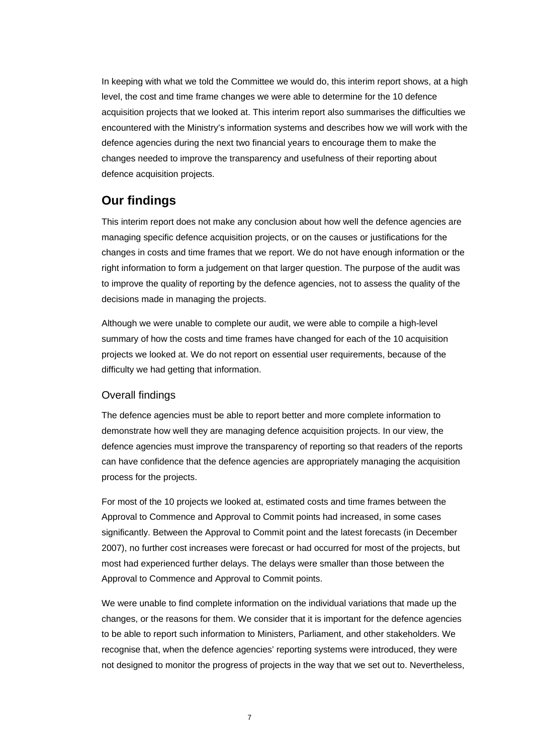In keeping with what we told the Committee we would do, this interim report shows, at a high level, the cost and time frame changes we were able to determine for the 10 defence acquisition projects that we looked at. This interim report also summarises the difficulties we encountered with the Ministry's information systems and describes how we will work with the defence agencies during the next two financial years to encourage them to make the changes needed to improve the transparency and usefulness of their reporting about defence acquisition projects.

# **Our findings**

This interim report does not make any conclusion about how well the defence agencies are managing specific defence acquisition projects, or on the causes or justifications for the changes in costs and time frames that we report. We do not have enough information or the right information to form a judgement on that larger question. The purpose of the audit was to improve the quality of reporting by the defence agencies, not to assess the quality of the decisions made in managing the projects.

Although we were unable to complete our audit, we were able to compile a high-level summary of how the costs and time frames have changed for each of the 10 acquisition projects we looked at. We do not report on essential user requirements, because of the difficulty we had getting that information.

### Overall findings

The defence agencies must be able to report better and more complete information to demonstrate how well they are managing defence acquisition projects. In our view, the defence agencies must improve the transparency of reporting so that readers of the reports can have confidence that the defence agencies are appropriately managing the acquisition process for the projects.

For most of the 10 projects we looked at, estimated costs and time frames between the Approval to Commence and Approval to Commit points had increased, in some cases significantly. Between the Approval to Commit point and the latest forecasts (in December 2007), no further cost increases were forecast or had occurred for most of the projects, but most had experienced further delays. The delays were smaller than those between the Approval to Commence and Approval to Commit points.

We were unable to find complete information on the individual variations that made up the changes, or the reasons for them. We consider that it is important for the defence agencies to be able to report such information to Ministers, Parliament, and other stakeholders. We recognise that, when the defence agencies' reporting systems were introduced, they were not designed to monitor the progress of projects in the way that we set out to. Nevertheless,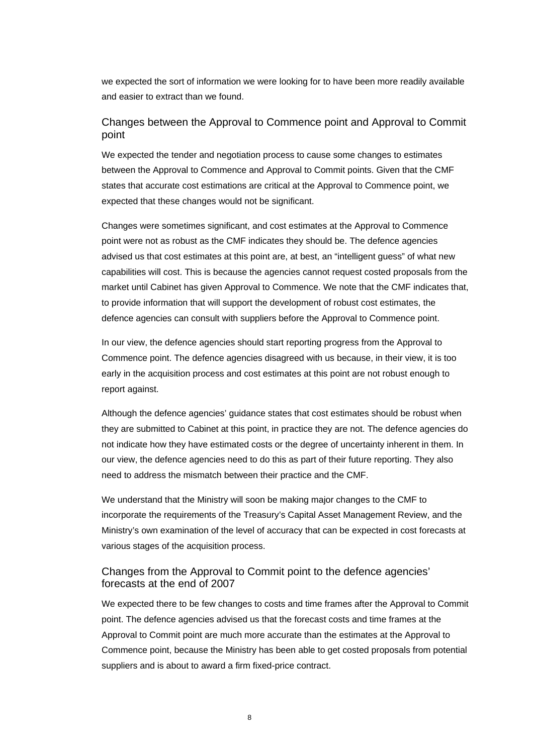we expected the sort of information we were looking for to have been more readily available and easier to extract than we found.

### Changes between the Approval to Commence point and Approval to Commit point

We expected the tender and negotiation process to cause some changes to estimates between the Approval to Commence and Approval to Commit points. Given that the CMF states that accurate cost estimations are critical at the Approval to Commence point, we expected that these changes would not be significant.

Changes were sometimes significant, and cost estimates at the Approval to Commence point were not as robust as the CMF indicates they should be. The defence agencies advised us that cost estimates at this point are, at best, an "intelligent guess" of what new capabilities will cost. This is because the agencies cannot request costed proposals from the market until Cabinet has given Approval to Commence. We note that the CMF indicates that, to provide information that will support the development of robust cost estimates, the defence agencies can consult with suppliers before the Approval to Commence point.

In our view, the defence agencies should start reporting progress from the Approval to Commence point. The defence agencies disagreed with us because, in their view, it is too early in the acquisition process and cost estimates at this point are not robust enough to report against.

Although the defence agencies' guidance states that cost estimates should be robust when they are submitted to Cabinet at this point, in practice they are not. The defence agencies do not indicate how they have estimated costs or the degree of uncertainty inherent in them. In our view, the defence agencies need to do this as part of their future reporting. They also need to address the mismatch between their practice and the CMF.

We understand that the Ministry will soon be making major changes to the CMF to incorporate the requirements of the Treasury's Capital Asset Management Review, and the Ministry's own examination of the level of accuracy that can be expected in cost forecasts at various stages of the acquisition process.

### Changes from the Approval to Commit point to the defence agencies' forecasts at the end of 2007

We expected there to be few changes to costs and time frames after the Approval to Commit point. The defence agencies advised us that the forecast costs and time frames at the Approval to Commit point are much more accurate than the estimates at the Approval to Commence point, because the Ministry has been able to get costed proposals from potential suppliers and is about to award a firm fixed-price contract.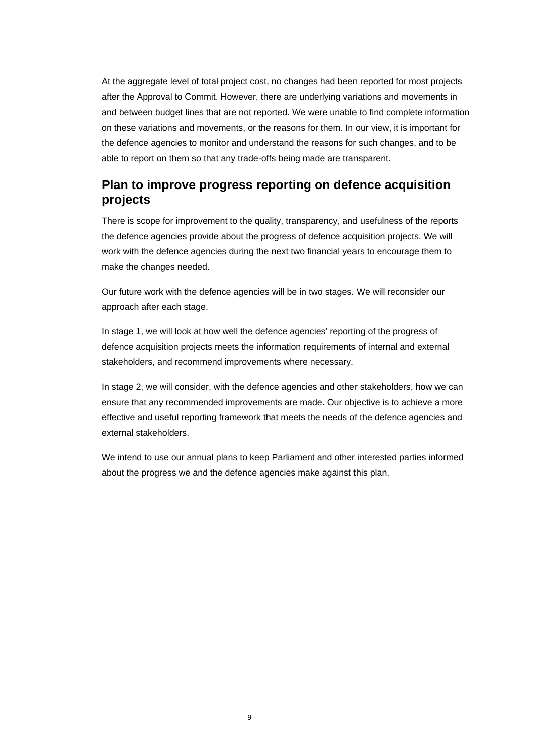At the aggregate level of total project cost, no changes had been reported for most projects after the Approval to Commit. However, there are underlying variations and movements in and between budget lines that are not reported. We were unable to find complete information on these variations and movements, or the reasons for them. In our view, it is important for the defence agencies to monitor and understand the reasons for such changes, and to be able to report on them so that any trade-offs being made are transparent.

# **Plan to improve progress reporting on defence acquisition projects**

There is scope for improvement to the quality, transparency, and usefulness of the reports the defence agencies provide about the progress of defence acquisition projects. We will work with the defence agencies during the next two financial years to encourage them to make the changes needed.

Our future work with the defence agencies will be in two stages. We will reconsider our approach after each stage.

In stage 1, we will look at how well the defence agencies' reporting of the progress of defence acquisition projects meets the information requirements of internal and external stakeholders, and recommend improvements where necessary.

In stage 2, we will consider, with the defence agencies and other stakeholders, how we can ensure that any recommended improvements are made. Our objective is to achieve a more effective and useful reporting framework that meets the needs of the defence agencies and external stakeholders.

We intend to use our annual plans to keep Parliament and other interested parties informed about the progress we and the defence agencies make against this plan.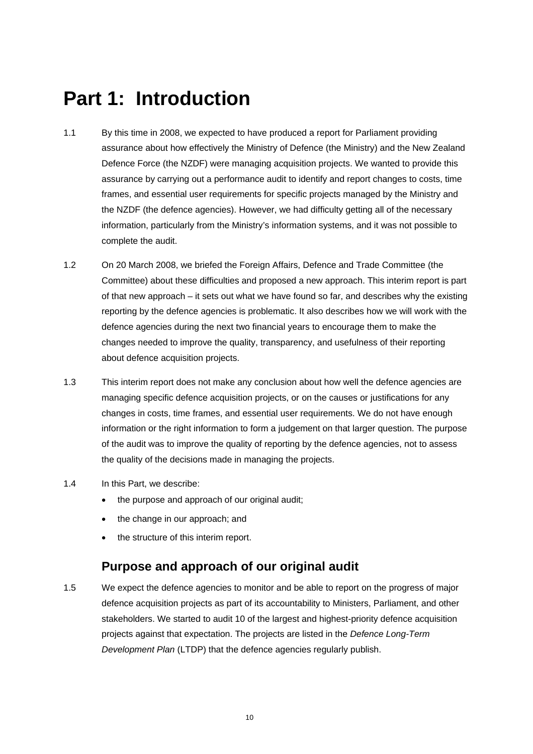# **Part 1: Introduction**

- 1.1 By this time in 2008, we expected to have produced a report for Parliament providing assurance about how effectively the Ministry of Defence (the Ministry) and the New Zealand Defence Force (the NZDF) were managing acquisition projects. We wanted to provide this assurance by carrying out a performance audit to identify and report changes to costs, time frames, and essential user requirements for specific projects managed by the Ministry and the NZDF (the defence agencies). However, we had difficulty getting all of the necessary information, particularly from the Ministry's information systems, and it was not possible to complete the audit.
- 1.2 On 20 March 2008, we briefed the Foreign Affairs, Defence and Trade Committee (the Committee) about these difficulties and proposed a new approach. This interim report is part of that new approach – it sets out what we have found so far, and describes why the existing reporting by the defence agencies is problematic. It also describes how we will work with the defence agencies during the next two financial years to encourage them to make the changes needed to improve the quality, transparency, and usefulness of their reporting about defence acquisition projects.
- 1.3 This interim report does not make any conclusion about how well the defence agencies are managing specific defence acquisition projects, or on the causes or justifications for any changes in costs, time frames, and essential user requirements. We do not have enough information or the right information to form a judgement on that larger question. The purpose of the audit was to improve the quality of reporting by the defence agencies, not to assess the quality of the decisions made in managing the projects.
- 1.4 In this Part, we describe:
	- the purpose and approach of our original audit;
	- the change in our approach; and
	- the structure of this interim report.

### **Purpose and approach of our original audit**

1.5 We expect the defence agencies to monitor and be able to report on the progress of major defence acquisition projects as part of its accountability to Ministers, Parliament, and other stakeholders. We started to audit 10 of the largest and highest-priority defence acquisition projects against that expectation. The projects are listed in the *Defence Long-Term Development Plan* (LTDP) that the defence agencies regularly publish.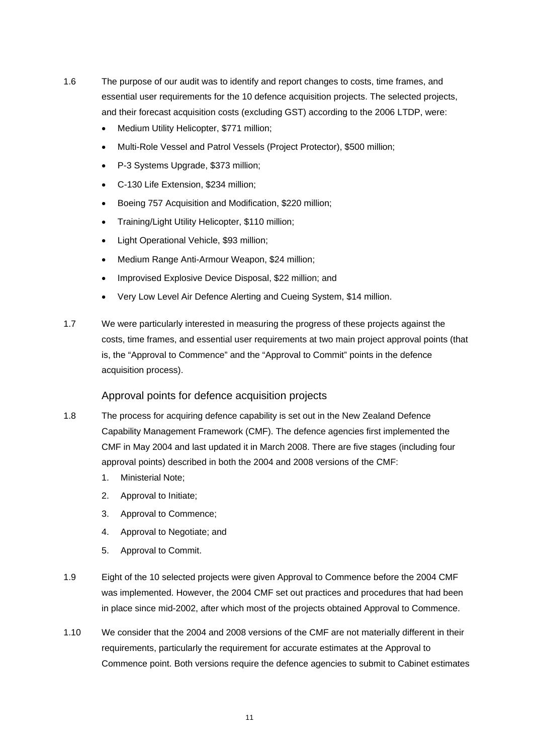- 1.6 The purpose of our audit was to identify and report changes to costs, time frames, and essential user requirements for the 10 defence acquisition projects. The selected projects, and their forecast acquisition costs (excluding GST) according to the 2006 LTDP, were:
	- Medium Utility Helicopter, \$771 million;
	- Multi-Role Vessel and Patrol Vessels (Project Protector), \$500 million;
	- P-3 Systems Upgrade, \$373 million;
	- C-130 Life Extension, \$234 million;
	- Boeing 757 Acquisition and Modification, \$220 million;
	- Training/Light Utility Helicopter, \$110 million;
	- Light Operational Vehicle, \$93 million;
	- Medium Range Anti-Armour Weapon, \$24 million;
	- Improvised Explosive Device Disposal, \$22 million; and
	- Very Low Level Air Defence Alerting and Cueing System, \$14 million.
- 1.7 We were particularly interested in measuring the progress of these projects against the costs, time frames, and essential user requirements at two main project approval points (that is, the "Approval to Commence" and the "Approval to Commit" points in the defence acquisition process).

### Approval points for defence acquisition projects

- 1.8 The process for acquiring defence capability is set out in the New Zealand Defence Capability Management Framework (CMF). The defence agencies first implemented the CMF in May 2004 and last updated it in March 2008. There are five stages (including four approval points) described in both the 2004 and 2008 versions of the CMF:
	- 1. Ministerial Note;
	- 2. Approval to Initiate;
	- 3. Approval to Commence;
	- 4. Approval to Negotiate; and
	- 5. Approval to Commit.
- 1.9 Eight of the 10 selected projects were given Approval to Commence before the 2004 CMF was implemented. However, the 2004 CMF set out practices and procedures that had been in place since mid-2002, after which most of the projects obtained Approval to Commence.
- 1.10 We consider that the 2004 and 2008 versions of the CMF are not materially different in their requirements, particularly the requirement for accurate estimates at the Approval to Commence point. Both versions require the defence agencies to submit to Cabinet estimates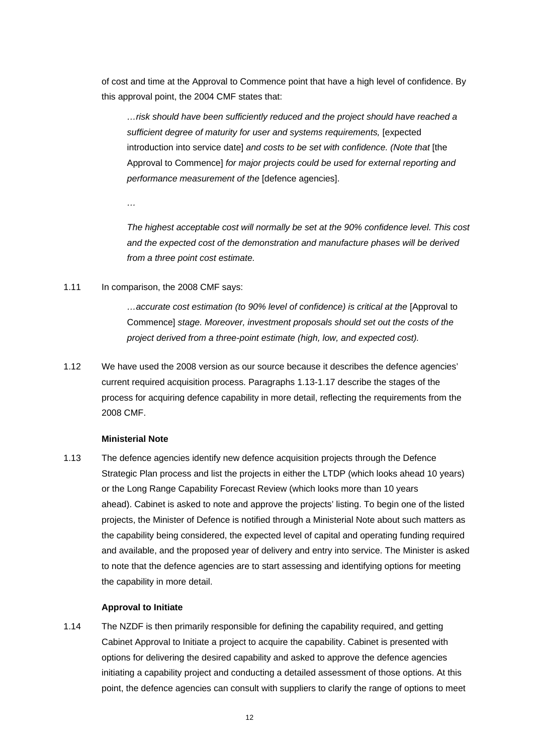of cost and time at the Approval to Commence point that have a high level of confidence. By this approval point, the 2004 CMF states that:

*…risk should have been sufficiently reduced and the project should have reached a sufficient degree of maturity for user and systems requirements,* [expected introduction into service date] *and costs to be set with confidence. (Note that* [the Approval to Commence] *for major projects could be used for external reporting and performance measurement of the* [defence agencies].

*…* 

*The highest acceptable cost will normally be set at the 90% confidence level. This cost and the expected cost of the demonstration and manufacture phases will be derived from a three point cost estimate.* 

1.11 In comparison, the 2008 CMF says:

*…accurate cost estimation (to 90% level of confidence) is critical at the* [Approval to Commence] *stage. Moreover, investment proposals should set out the costs of the project derived from a three-point estimate (high, low, and expected cost).* 

1.12 We have used the 2008 version as our source because it describes the defence agencies' current required acquisition process. Paragraphs 1.13-1.17 describe the stages of the process for acquiring defence capability in more detail, reflecting the requirements from the 2008 CMF.

### **Ministerial Note**

1.13 The defence agencies identify new defence acquisition projects through the Defence Strategic Plan process and list the projects in either the LTDP (which looks ahead 10 years) or the Long Range Capability Forecast Review (which looks more than 10 years ahead). Cabinet is asked to note and approve the projects' listing. To begin one of the listed projects, the Minister of Defence is notified through a Ministerial Note about such matters as the capability being considered, the expected level of capital and operating funding required and available, and the proposed year of delivery and entry into service. The Minister is asked to note that the defence agencies are to start assessing and identifying options for meeting the capability in more detail.

### **Approval to Initiate**

1.14 The NZDF is then primarily responsible for defining the capability required, and getting Cabinet Approval to Initiate a project to acquire the capability. Cabinet is presented with options for delivering the desired capability and asked to approve the defence agencies initiating a capability project and conducting a detailed assessment of those options. At this point, the defence agencies can consult with suppliers to clarify the range of options to meet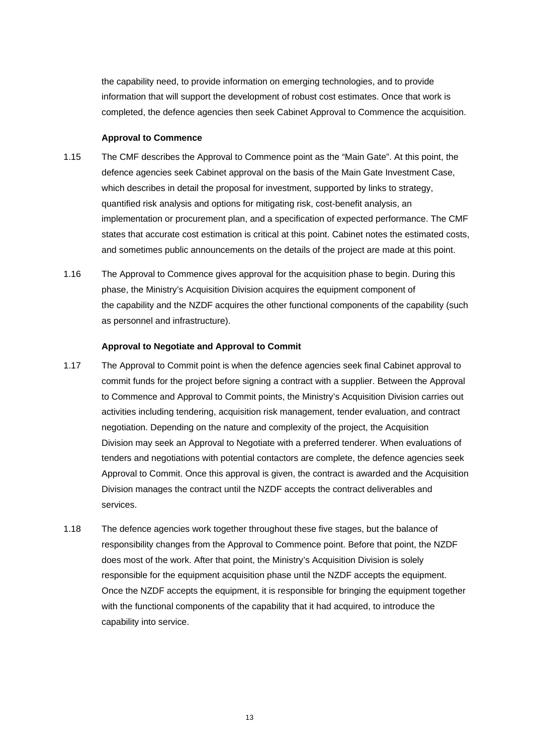the capability need, to provide information on emerging technologies, and to provide information that will support the development of robust cost estimates. Once that work is completed, the defence agencies then seek Cabinet Approval to Commence the acquisition.

#### **Approval to Commence**

- 1.15 The CMF describes the Approval to Commence point as the "Main Gate". At this point, the defence agencies seek Cabinet approval on the basis of the Main Gate Investment Case, which describes in detail the proposal for investment, supported by links to strategy, quantified risk analysis and options for mitigating risk, cost-benefit analysis, an implementation or procurement plan, and a specification of expected performance. The CMF states that accurate cost estimation is critical at this point. Cabinet notes the estimated costs, and sometimes public announcements on the details of the project are made at this point.
- 1.16 The Approval to Commence gives approval for the acquisition phase to begin. During this phase, the Ministry's Acquisition Division acquires the equipment component of the capability and the NZDF acquires the other functional components of the capability (such as personnel and infrastructure).

#### **Approval to Negotiate and Approval to Commit**

- 1.17 The Approval to Commit point is when the defence agencies seek final Cabinet approval to commit funds for the project before signing a contract with a supplier. Between the Approval to Commence and Approval to Commit points, the Ministry's Acquisition Division carries out activities including tendering, acquisition risk management, tender evaluation, and contract negotiation. Depending on the nature and complexity of the project, the Acquisition Division may seek an Approval to Negotiate with a preferred tenderer. When evaluations of tenders and negotiations with potential contactors are complete, the defence agencies seek Approval to Commit. Once this approval is given, the contract is awarded and the Acquisition Division manages the contract until the NZDF accepts the contract deliverables and services.
- 1.18 The defence agencies work together throughout these five stages, but the balance of responsibility changes from the Approval to Commence point. Before that point, the NZDF does most of the work. After that point, the Ministry's Acquisition Division is solely responsible for the equipment acquisition phase until the NZDF accepts the equipment. Once the NZDF accepts the equipment, it is responsible for bringing the equipment together with the functional components of the capability that it had acquired, to introduce the capability into service.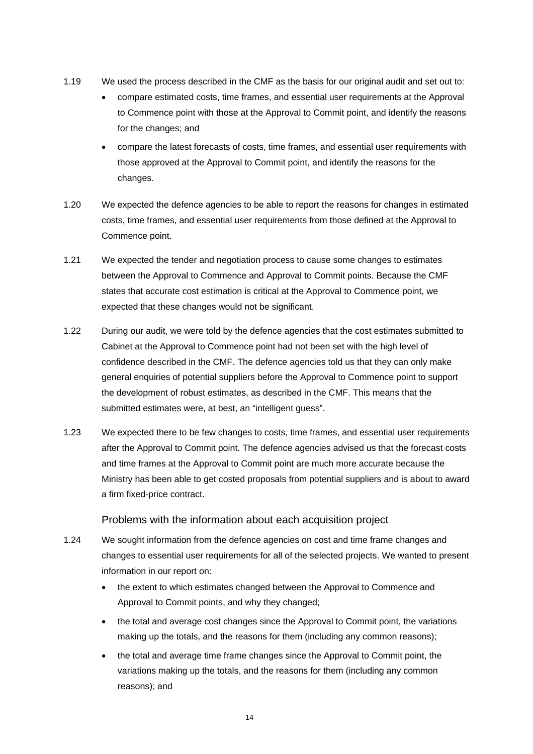- 1.19 We used the process described in the CMF as the basis for our original audit and set out to:
	- compare estimated costs, time frames, and essential user requirements at the Approval to Commence point with those at the Approval to Commit point, and identify the reasons for the changes; and
	- compare the latest forecasts of costs, time frames, and essential user requirements with those approved at the Approval to Commit point, and identify the reasons for the changes.
- 1.20 We expected the defence agencies to be able to report the reasons for changes in estimated costs, time frames, and essential user requirements from those defined at the Approval to Commence point.
- 1.21 We expected the tender and negotiation process to cause some changes to estimates between the Approval to Commence and Approval to Commit points. Because the CMF states that accurate cost estimation is critical at the Approval to Commence point, we expected that these changes would not be significant.
- 1.22 During our audit, we were told by the defence agencies that the cost estimates submitted to Cabinet at the Approval to Commence point had not been set with the high level of confidence described in the CMF. The defence agencies told us that they can only make general enquiries of potential suppliers before the Approval to Commence point to support the development of robust estimates, as described in the CMF. This means that the submitted estimates were, at best, an "intelligent guess".
- 1.23 We expected there to be few changes to costs, time frames, and essential user requirements after the Approval to Commit point. The defence agencies advised us that the forecast costs and time frames at the Approval to Commit point are much more accurate because the Ministry has been able to get costed proposals from potential suppliers and is about to award a firm fixed-price contract.

### Problems with the information about each acquisition project

- 1.24 We sought information from the defence agencies on cost and time frame changes and changes to essential user requirements for all of the selected projects. We wanted to present information in our report on:
	- the extent to which estimates changed between the Approval to Commence and Approval to Commit points, and why they changed;
	- the total and average cost changes since the Approval to Commit point, the variations making up the totals, and the reasons for them (including any common reasons);
	- the total and average time frame changes since the Approval to Commit point, the variations making up the totals, and the reasons for them (including any common reasons); and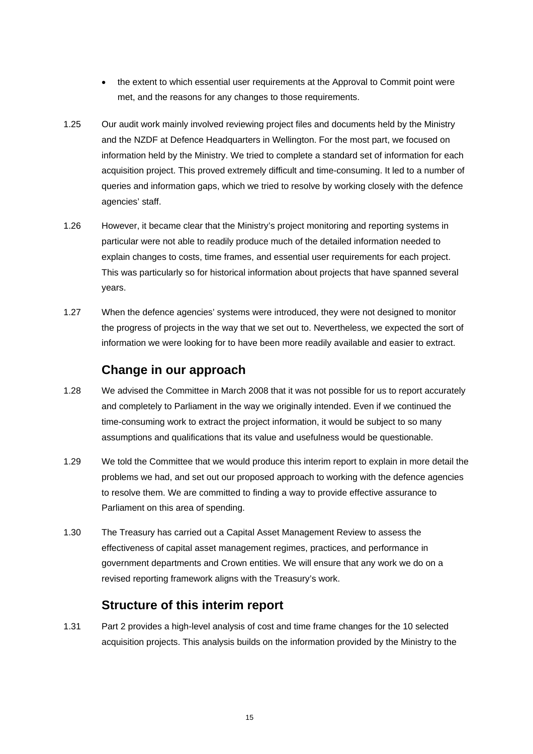- the extent to which essential user requirements at the Approval to Commit point were met, and the reasons for any changes to those requirements.
- 1.25 Our audit work mainly involved reviewing project files and documents held by the Ministry and the NZDF at Defence Headquarters in Wellington. For the most part, we focused on information held by the Ministry. We tried to complete a standard set of information for each acquisition project. This proved extremely difficult and time-consuming. It led to a number of queries and information gaps, which we tried to resolve by working closely with the defence agencies' staff.
- 1.26 However, it became clear that the Ministry's project monitoring and reporting systems in particular were not able to readily produce much of the detailed information needed to explain changes to costs, time frames, and essential user requirements for each project. This was particularly so for historical information about projects that have spanned several years.
- 1.27 When the defence agencies' systems were introduced, they were not designed to monitor the progress of projects in the way that we set out to. Nevertheless, we expected the sort of information we were looking for to have been more readily available and easier to extract.

# **Change in our approach**

- 1.28 We advised the Committee in March 2008 that it was not possible for us to report accurately and completely to Parliament in the way we originally intended. Even if we continued the time-consuming work to extract the project information, it would be subject to so many assumptions and qualifications that its value and usefulness would be questionable.
- 1.29 We told the Committee that we would produce this interim report to explain in more detail the problems we had, and set out our proposed approach to working with the defence agencies to resolve them. We are committed to finding a way to provide effective assurance to Parliament on this area of spending.
- 1.30 The Treasury has carried out a Capital Asset Management Review to assess the effectiveness of capital asset management regimes, practices, and performance in government departments and Crown entities. We will ensure that any work we do on a revised reporting framework aligns with the Treasury's work.

# **Structure of this interim report**

1.31 Part 2 provides a high-level analysis of cost and time frame changes for the 10 selected acquisition projects. This analysis builds on the information provided by the Ministry to the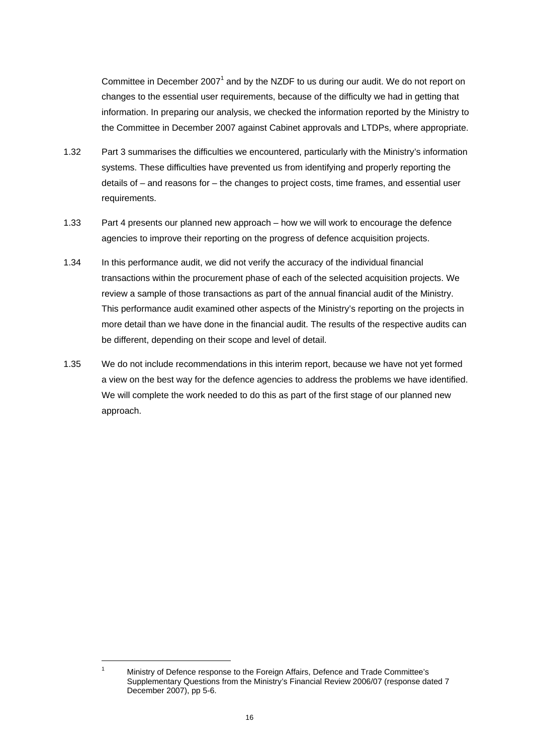Committee in December 2007<sup>1</sup> and by the NZDF to us during our audit. We do not report on changes to the essential user requirements, because of the difficulty we had in getting that information. In preparing our analysis, we checked the information reported by the Ministry to the Committee in December 2007 against Cabinet approvals and LTDPs, where appropriate.

- 1.32 Part 3 summarises the difficulties we encountered, particularly with the Ministry's information systems. These difficulties have prevented us from identifying and properly reporting the details of – and reasons for – the changes to project costs, time frames, and essential user requirements.
- 1.33 Part 4 presents our planned new approach how we will work to encourage the defence agencies to improve their reporting on the progress of defence acquisition projects.
- 1.34 In this performance audit, we did not verify the accuracy of the individual financial transactions within the procurement phase of each of the selected acquisition projects. We review a sample of those transactions as part of the annual financial audit of the Ministry. This performance audit examined other aspects of the Ministry's reporting on the projects in more detail than we have done in the financial audit. The results of the respective audits can be different, depending on their scope and level of detail.
- 1.35 We do not include recommendations in this interim report, because we have not yet formed a view on the best way for the defence agencies to address the problems we have identified. We will complete the work needed to do this as part of the first stage of our planned new approach.

l 1

Ministry of Defence response to the Foreign Affairs, Defence and Trade Committee's Supplementary Questions from the Ministry's Financial Review 2006/07 (response dated 7 December 2007), pp 5-6.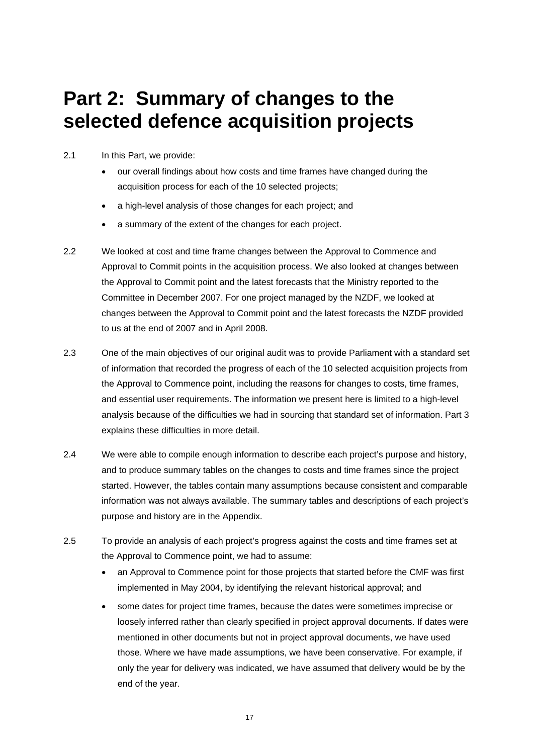# **Part 2: Summary of changes to the selected defence acquisition projects**

- 2.1 In this Part, we provide:
	- our overall findings about how costs and time frames have changed during the acquisition process for each of the 10 selected projects;
	- a high-level analysis of those changes for each project; and
	- a summary of the extent of the changes for each project.
- 2.2 We looked at cost and time frame changes between the Approval to Commence and Approval to Commit points in the acquisition process. We also looked at changes between the Approval to Commit point and the latest forecasts that the Ministry reported to the Committee in December 2007. For one project managed by the NZDF, we looked at changes between the Approval to Commit point and the latest forecasts the NZDF provided to us at the end of 2007 and in April 2008.
- 2.3 One of the main objectives of our original audit was to provide Parliament with a standard set of information that recorded the progress of each of the 10 selected acquisition projects from the Approval to Commence point, including the reasons for changes to costs, time frames, and essential user requirements. The information we present here is limited to a high-level analysis because of the difficulties we had in sourcing that standard set of information. Part 3 explains these difficulties in more detail.
- 2.4 We were able to compile enough information to describe each project's purpose and history, and to produce summary tables on the changes to costs and time frames since the project started. However, the tables contain many assumptions because consistent and comparable information was not always available. The summary tables and descriptions of each project's purpose and history are in the Appendix.
- 2.5 To provide an analysis of each project's progress against the costs and time frames set at the Approval to Commence point, we had to assume:
	- an Approval to Commence point for those projects that started before the CMF was first implemented in May 2004, by identifying the relevant historical approval; and
	- some dates for project time frames, because the dates were sometimes imprecise or loosely inferred rather than clearly specified in project approval documents. If dates were mentioned in other documents but not in project approval documents, we have used those. Where we have made assumptions, we have been conservative. For example, if only the year for delivery was indicated, we have assumed that delivery would be by the end of the year.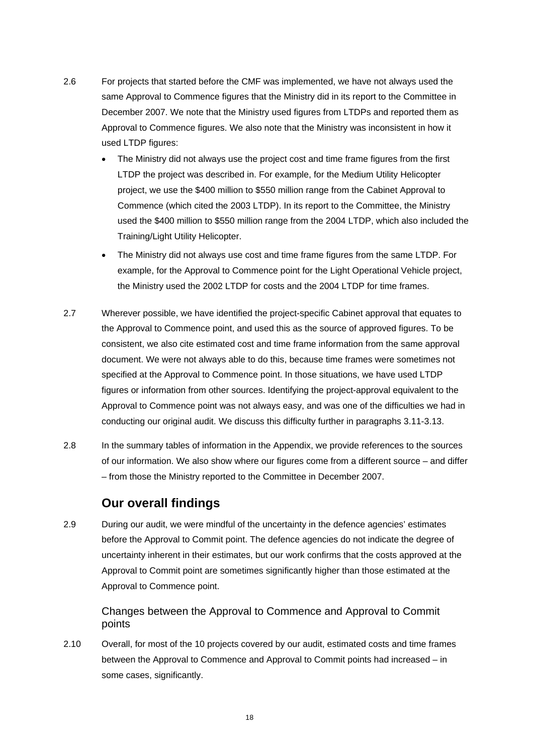- 2.6 For projects that started before the CMF was implemented, we have not always used the same Approval to Commence figures that the Ministry did in its report to the Committee in December 2007. We note that the Ministry used figures from LTDPs and reported them as Approval to Commence figures. We also note that the Ministry was inconsistent in how it used LTDP figures:
	- The Ministry did not always use the project cost and time frame figures from the first LTDP the project was described in. For example, for the Medium Utility Helicopter project, we use the \$400 million to \$550 million range from the Cabinet Approval to Commence (which cited the 2003 LTDP). In its report to the Committee, the Ministry used the \$400 million to \$550 million range from the 2004 LTDP, which also included the Training/Light Utility Helicopter.
	- The Ministry did not always use cost and time frame figures from the same LTDP. For example, for the Approval to Commence point for the Light Operational Vehicle project, the Ministry used the 2002 LTDP for costs and the 2004 LTDP for time frames.
- 2.7 Wherever possible, we have identified the project-specific Cabinet approval that equates to the Approval to Commence point, and used this as the source of approved figures. To be consistent, we also cite estimated cost and time frame information from the same approval document. We were not always able to do this, because time frames were sometimes not specified at the Approval to Commence point. In those situations, we have used LTDP figures or information from other sources. Identifying the project-approval equivalent to the Approval to Commence point was not always easy, and was one of the difficulties we had in conducting our original audit. We discuss this difficulty further in paragraphs 3.11-3.13.
- 2.8 In the summary tables of information in the Appendix, we provide references to the sources of our information. We also show where our figures come from a different source – and differ – from those the Ministry reported to the Committee in December 2007.

## **Our overall findings**

2.9 During our audit, we were mindful of the uncertainty in the defence agencies' estimates before the Approval to Commit point. The defence agencies do not indicate the degree of uncertainty inherent in their estimates, but our work confirms that the costs approved at the Approval to Commit point are sometimes significantly higher than those estimated at the Approval to Commence point.

Changes between the Approval to Commence and Approval to Commit points

2.10 Overall, for most of the 10 projects covered by our audit, estimated costs and time frames between the Approval to Commence and Approval to Commit points had increased – in some cases, significantly.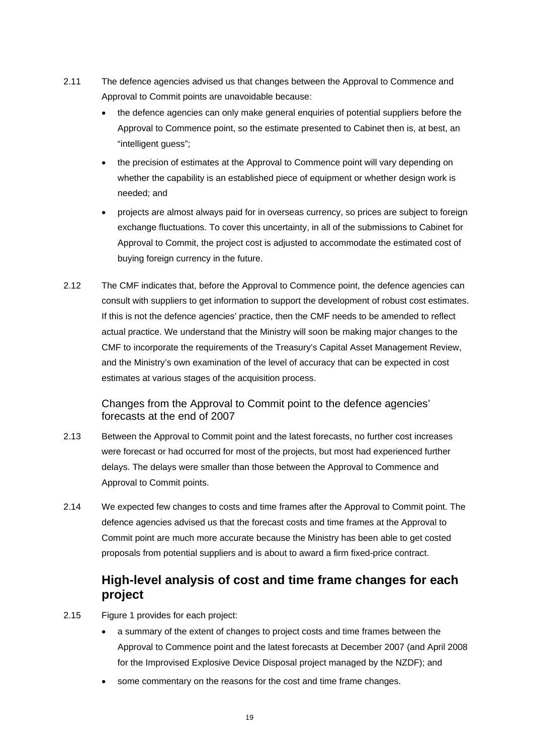- 2.11 The defence agencies advised us that changes between the Approval to Commence and Approval to Commit points are unavoidable because:
	- the defence agencies can only make general enquiries of potential suppliers before the Approval to Commence point, so the estimate presented to Cabinet then is, at best, an "intelligent guess";
	- the precision of estimates at the Approval to Commence point will vary depending on whether the capability is an established piece of equipment or whether design work is needed; and
	- projects are almost always paid for in overseas currency, so prices are subject to foreign exchange fluctuations. To cover this uncertainty, in all of the submissions to Cabinet for Approval to Commit, the project cost is adjusted to accommodate the estimated cost of buying foreign currency in the future.
- 2.12 The CMF indicates that, before the Approval to Commence point, the defence agencies can consult with suppliers to get information to support the development of robust cost estimates. If this is not the defence agencies' practice, then the CMF needs to be amended to reflect actual practice. We understand that the Ministry will soon be making major changes to the CMF to incorporate the requirements of the Treasury's Capital Asset Management Review, and the Ministry's own examination of the level of accuracy that can be expected in cost estimates at various stages of the acquisition process.

### Changes from the Approval to Commit point to the defence agencies' forecasts at the end of 2007

- 2.13 Between the Approval to Commit point and the latest forecasts, no further cost increases were forecast or had occurred for most of the projects, but most had experienced further delays. The delays were smaller than those between the Approval to Commence and Approval to Commit points.
- 2.14 We expected few changes to costs and time frames after the Approval to Commit point. The defence agencies advised us that the forecast costs and time frames at the Approval to Commit point are much more accurate because the Ministry has been able to get costed proposals from potential suppliers and is about to award a firm fixed-price contract.

# **High-level analysis of cost and time frame changes for each project**

- 2.15 Figure 1 provides for each project:
	- a summary of the extent of changes to project costs and time frames between the Approval to Commence point and the latest forecasts at December 2007 (and April 2008 for the Improvised Explosive Device Disposal project managed by the NZDF); and
	- some commentary on the reasons for the cost and time frame changes.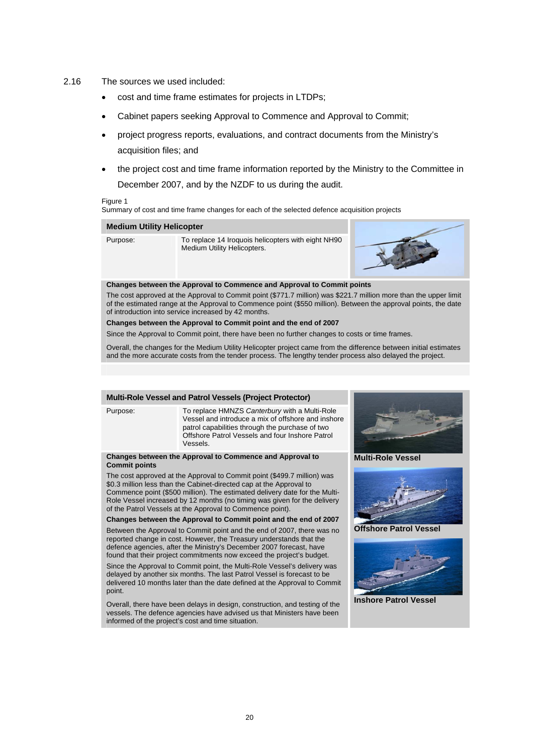- 2.16 The sources we used included:
	- cost and time frame estimates for projects in LTDPs;
	- Cabinet papers seeking Approval to Commence and Approval to Commit;
	- project progress reports, evaluations, and contract documents from the Ministry's acquisition files; and
	- the project cost and time frame information reported by the Ministry to the Committee in December 2007, and by the NZDF to us during the audit.

#### Figure 1

Summary of cost and time frame changes for each of the selected defence acquisition projects

| <b>Medium Utility Helicopter</b> |                                                                                   |  |
|----------------------------------|-----------------------------------------------------------------------------------|--|
| Purpose:                         | To replace 14 Iroquois helicopters with eight NH90<br>Medium Utility Helicopters. |  |
|                                  | Changes hatureau the Announcles Commences and Announcles Commitmentation          |  |

#### **Changes between the Approval to Commence and Approval to Commit points**

The cost approved at the Approval to Commit point (\$771.7 million) was \$221.7 million more than the upper limit of the estimated range at the Approval to Commence point (\$550 million). Between the approval points, the date of introduction into service increased by 42 months.

#### **Changes between the Approval to Commit point and the end of 2007**

Since the Approval to Commit point, there have been no further changes to costs or time frames.

Overall, the changes for the Medium Utility Helicopter project came from the difference between initial estimates and the more accurate costs from the tender process. The lengthy tender process also delayed the project.

#### **Multi-Role Vessel and Patrol Vessels (Project Protector)**

Purpose: To replace HMNZS *Canterbury* with a Multi-Role Vessel and introduce a mix of offshore and inshore patrol capabilities through the purchase of two Offshore Patrol Vessels and four Inshore Patrol Vessels.

#### **Changes between the Approval to Commence and Approval to Commit points**

The cost approved at the Approval to Commit point (\$499.7 million) was \$0.3 million less than the Cabinet-directed cap at the Approval to Commence point (\$500 million). The estimated delivery date for the Multi-Role Vessel increased by 12 months (no timing was given for the delivery of the Patrol Vessels at the Approval to Commence point).

**Changes between the Approval to Commit point and the end of 2007** 

Between the Approval to Commit point and the end of 2007, there was no reported change in cost. However, the Treasury understands that the defence agencies, after the Ministry's December 2007 forecast, have found that their project commitments now exceed the project's budget.

Since the Approval to Commit point, the Multi-Role Vessel's delivery was delayed by another six months. The last Patrol Vessel is forecast to be delivered 10 months later than the date defined at the Approval to Commit point.

Overall, there have been delays in design, construction, and testing of the vessels. The defence agencies have advised us that Ministers have been informed of the project's cost and time situation.



#### **Multi-Role Vessel**



**Offshore Patrol Vessel** 



#### **Inshore Patrol Vessel**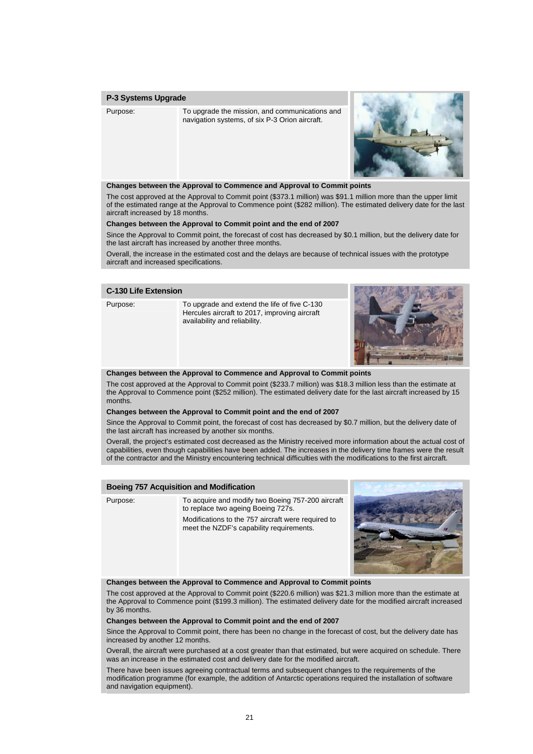#### **P-3 Systems Upgrade**

Purpose: To upgrade the mission, and communications and navigation systems, of six P-3 Orion aircraft.



#### **Changes between the Approval to Commence and Approval to Commit points**

The cost approved at the Approval to Commit point (\$373.1 million) was \$91.1 million more than the upper limit of the estimated range at the Approval to Commence point (\$282 million). The estimated delivery date for the last aircraft increased by 18 months.

#### **Changes between the Approval to Commit point and the end of 2007**

Since the Approval to Commit point, the forecast of cost has decreased by \$0.1 million, but the delivery date for the last aircraft has increased by another three months.

Overall, the increase in the estimated cost and the delays are because of technical issues with the prototype aircraft and increased specifications.

#### **C-130 Life Extension**

Purpose: To upgrade and extend the life of five C-130 Hercules aircraft to 2017, improving aircraft availability and reliability.



#### **Changes between the Approval to Commence and Approval to Commit points**

The cost approved at the Approval to Commit point (\$233.7 million) was \$18.3 million less than the estimate at the Approval to Commence point (\$252 million). The estimated delivery date for the last aircraft increased by 15 months.

#### **Changes between the Approval to Commit point and the end of 2007**

Since the Approval to Commit point, the forecast of cost has decreased by \$0.7 million, but the delivery date of the last aircraft has increased by another six months.

Overall, the project's estimated cost decreased as the Ministry received more information about the actual cost of capabilities, even though capabilities have been added. The increases in the delivery time frames were the result of the contractor and the Ministry encountering technical difficulties with the modifications to the first aircraft.

#### **Boeing 757 Acquisition and Modification**

Purpose: To acquire and modify two Boeing 757-200 aircraft to replace two ageing Boeing 727s. Modifications to the 757 aircraft were required to meet the NZDF's capability requirements.



**Changes between the Approval to Commence and Approval to Commit points**

The cost approved at the Approval to Commit point (\$220.6 million) was \$21.3 million more than the estimate at the Approval to Commence point (\$199.3 million). The estimated delivery date for the modified aircraft increased by 36 months.

#### **Changes between the Approval to Commit point and the end of 2007**

Since the Approval to Commit point, there has been no change in the forecast of cost, but the delivery date has increased by another 12 months.

Overall, the aircraft were purchased at a cost greater than that estimated, but were acquired on schedule. There was an increase in the estimated cost and delivery date for the modified aircraft.

There have been issues agreeing contractual terms and subsequent changes to the requirements of the modification programme (for example, the addition of Antarctic operations required the installation of software and navigation equipment).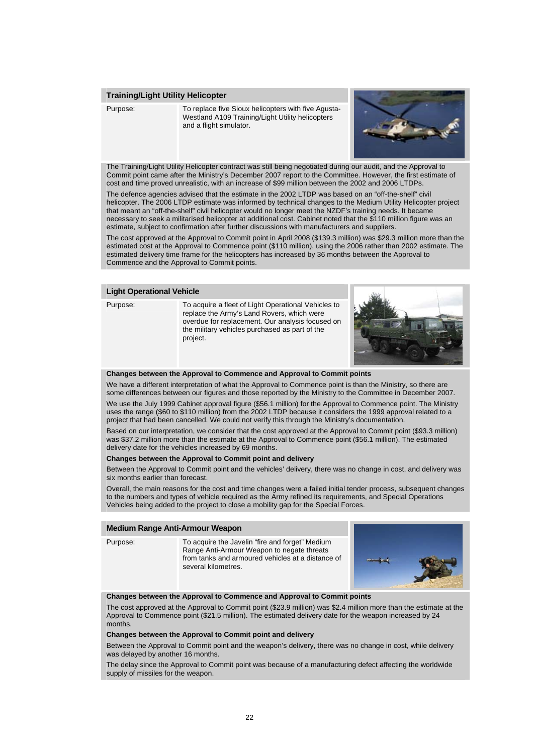#### **Training/Light Utility Helicopter**

Purpose: To replace five Sioux helicopters with five Agusta-Westland A109 Training/Light Utility helicopters and a flight simulator.



The Training/Light Utility Helicopter contract was still being negotiated during our audit, and the Approval to Commit point came after the Ministry's December 2007 report to the Committee. However, the first estimate of cost and time proved unrealistic, with an increase of \$99 million between the 2002 and 2006 LTDPs.

The defence agencies advised that the estimate in the 2002 LTDP was based on an "off-the-shelf" civil helicopter. The 2006 LTDP estimate was informed by technical changes to the Medium Utility Helicopter project that meant an "off-the-shelf" civil helicopter would no longer meet the NZDF's training needs. It became necessary to seek a militarised helicopter at additional cost. Cabinet noted that the \$110 million figure was an estimate, subject to confirmation after further discussions with manufacturers and suppliers.

The cost approved at the Approval to Commit point in April 2008 (\$139.3 million) was \$29.3 million more than the estimated cost at the Approval to Commence point (\$110 million), using the 2006 rather than 2002 estimate. The estimated delivery time frame for the helicopters has increased by 36 months between the Approval to Commence and the Approval to Commit points.

#### **Light Operational Vehicle**

Purpose: To acquire a fleet of Light Operational Vehicles to replace the Army's Land Rovers, which were overdue for replacement. Our analysis focused on the military vehicles purchased as part of the project.



#### **Changes between the Approval to Commence and Approval to Commit points**

We have a different interpretation of what the Approval to Commence point is than the Ministry, so there are some differences between our figures and those reported by the Ministry to the Committee in December 2007.

We use the July 1999 Cabinet approval figure (\$56.1 million) for the Approval to Commence point. The Ministry uses the range (\$60 to \$110 million) from the 2002 LTDP because it considers the 1999 approval related to a project that had been cancelled. We could not verify this through the Ministry's documentation.

Based on our interpretation, we consider that the cost approved at the Approval to Commit point (\$93.3 million) was \$37.2 million more than the estimate at the Approval to Commence point (\$56.1 million). The estimated delivery date for the vehicles increased by 69 months.

#### **Changes between the Approval to Commit point and delivery**

Between the Approval to Commit point and the vehicles' delivery, there was no change in cost, and delivery was six months earlier than forecast.

Overall, the main reasons for the cost and time changes were a failed initial tender process, subsequent changes to the numbers and types of vehicle required as the Army refined its requirements, and Special Operations Vehicles being added to the project to close a mobility gap for the Special Forces.

#### **Medium Range Anti-Armour Weapon**

Purpose: To acquire the Javelin "fire and forget" Medium Range Anti-Armour Weapon to negate threats from tanks and armoured vehicles at a distance of several kilometres.



#### **Changes between the Approval to Commence and Approval to Commit points**

The cost approved at the Approval to Commit point (\$23.9 million) was \$2.4 million more than the estimate at the Approval to Commence point (\$21.5 million). The estimated delivery date for the weapon increased by 24 months.

#### **Changes between the Approval to Commit point and delivery**

Between the Approval to Commit point and the weapon's delivery, there was no change in cost, while delivery was delayed by another 16 months.

The delay since the Approval to Commit point was because of a manufacturing defect affecting the worldwide supply of missiles for the weapon.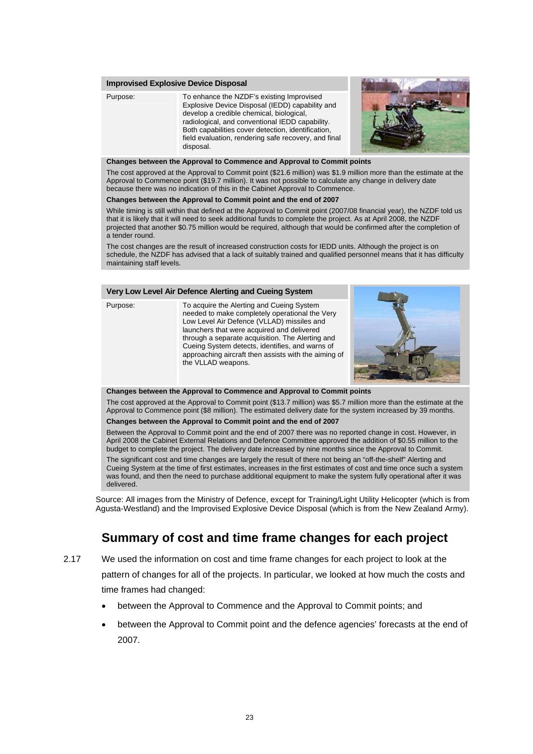#### **Improvised Explosive Device Disposal**

Purpose: To enhance the NZDF's existing Improvised Explosive Device Disposal (IEDD) capability and develop a credible chemical, biological, radiological, and conventional IEDD capability. Both capabilities cover detection, identification, field evaluation, rendering safe recovery, and final disposal.



#### **Changes between the Approval to Commence and Approval to Commit points**

The cost approved at the Approval to Commit point (\$21.6 million) was \$1.9 million more than the estimate at the Approval to Commence point (\$19.7 million). It was not possible to calculate any change in delivery date because there was no indication of this in the Cabinet Approval to Commence.

#### **Changes between the Approval to Commit point and the end of 2007**

While timing is still within that defined at the Approval to Commit point (2007/08 financial year), the NZDF told us that it is likely that it will need to seek additional funds to complete the project. As at April 2008, the NZDF projected that another \$0.75 million would be required, although that would be confirmed after the completion of a tender round.

The cost changes are the result of increased construction costs for IEDD units. Although the project is on schedule, the NZDF has advised that a lack of suitably trained and qualified personnel means that it has difficulty maintaining staff levels.

#### **Very Low Level Air Defence Alerting and Cueing System**

Purpose: To acquire the Alerting and Cueing System needed to make completely operational the Very Low Level Air Defence (VLLAD) missiles and launchers that were acquired and delivered through a separate acquisition. The Alerting and Cueing System detects, identifies, and warns of approaching aircraft then assists with the aiming of the VLLAD weapons.



#### **Changes between the Approval to Commence and Approval to Commit points**

The cost approved at the Approval to Commit point (\$13.7 million) was \$5.7 million more than the estimate at the Approval to Commence point (\$8 million). The estimated delivery date for the system increased by 39 months.

#### **Changes between the Approval to Commit point and the end of 2007**

Between the Approval to Commit point and the end of 2007 there was no reported change in cost. However, in April 2008 the Cabinet External Relations and Defence Committee approved the addition of \$0.55 million to the budget to complete the project. The delivery date increased by nine months since the Approval to Commit.

The significant cost and time changes are largely the result of there not being an "off-the-shelf" Alerting and Cueing System at the time of first estimates, increases in the first estimates of cost and time once such a system was found, and then the need to purchase additional equipment to make the system fully operational after it was delivered.

Source: All images from the Ministry of Defence, except for Training/Light Utility Helicopter (which is from Agusta-Westland) and the Improvised Explosive Device Disposal (which is from the New Zealand Army).

# **Summary of cost and time frame changes for each project**

- 2.17 We used the information on cost and time frame changes for each project to look at the pattern of changes for all of the projects. In particular, we looked at how much the costs and time frames had changed:
	- between the Approval to Commence and the Approval to Commit points; and
	- between the Approval to Commit point and the defence agencies' forecasts at the end of 2007.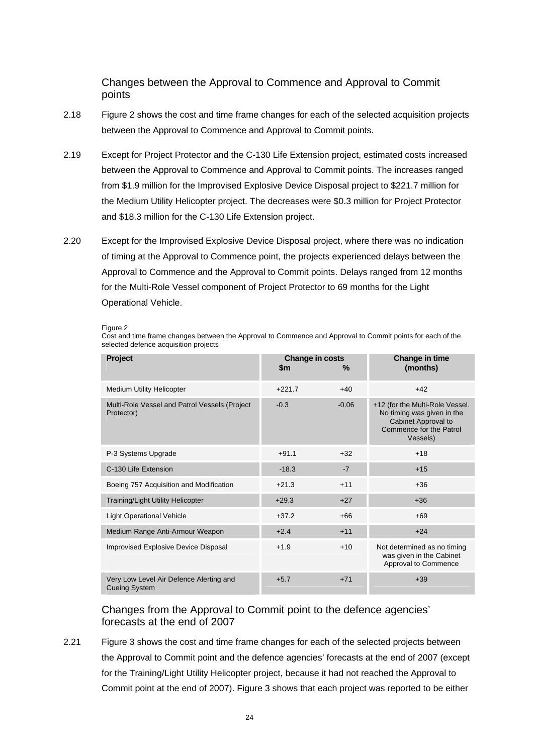### Changes between the Approval to Commence and Approval to Commit points

- 2.18 Figure 2 shows the cost and time frame changes for each of the selected acquisition projects between the Approval to Commence and Approval to Commit points.
- 2.19 Except for Project Protector and the C-130 Life Extension project, estimated costs increased between the Approval to Commence and Approval to Commit points. The increases ranged from \$1.9 million for the Improvised Explosive Device Disposal project to \$221.7 million for the Medium Utility Helicopter project. The decreases were \$0.3 million for Project Protector and \$18.3 million for the C-130 Life Extension project.
- 2.20 Except for the Improvised Explosive Device Disposal project, where there was no indication of timing at the Approval to Commence point, the projects experienced delays between the Approval to Commence and the Approval to Commit points. Delays ranged from 12 months for the Multi-Role Vessel component of Project Protector to 69 months for the Light Operational Vehicle.

Figure 2

Cost and time frame changes between the Approval to Commence and Approval to Commit points for each of the selected defence acquisition projects

| <b>Project</b>                                                  | Change in costs<br>\$m | ℅       | Change in time<br>(months)                                                                                                  |
|-----------------------------------------------------------------|------------------------|---------|-----------------------------------------------------------------------------------------------------------------------------|
| <b>Medium Utility Helicopter</b>                                | $+221.7$               | $+40$   | $+42$                                                                                                                       |
| Multi-Role Vessel and Patrol Vessels (Project<br>Protector)     | $-0.3$                 | $-0.06$ | +12 (for the Multi-Role Vessel.<br>No timing was given in the<br>Cabinet Approval to<br>Commence for the Patrol<br>Vessels) |
| P-3 Systems Upgrade                                             | $+91.1$                | $+32$   | $+18$                                                                                                                       |
| C-130 Life Extension                                            | $-18.3$                | $-7$    | $+15$                                                                                                                       |
| Boeing 757 Acquisition and Modification                         | $+21.3$                | $+11$   | $+36$                                                                                                                       |
| <b>Training/Light Utility Helicopter</b>                        | $+29.3$                | $+27$   | $+36$                                                                                                                       |
| <b>Light Operational Vehicle</b>                                | $+37.2$                | $+66$   | $+69$                                                                                                                       |
| Medium Range Anti-Armour Weapon                                 | $+2.4$                 | $+11$   | $+24$                                                                                                                       |
| Improvised Explosive Device Disposal                            | $+1.9$                 | $+10$   | Not determined as no timing<br>was given in the Cabinet<br>Approval to Commence                                             |
| Very Low Level Air Defence Alerting and<br><b>Cueing System</b> | $+5.7$                 | $+71$   | $+39$                                                                                                                       |

### Changes from the Approval to Commit point to the defence agencies' forecasts at the end of 2007

2.21 Figure 3 shows the cost and time frame changes for each of the selected projects between the Approval to Commit point and the defence agencies' forecasts at the end of 2007 (except for the Training/Light Utility Helicopter project, because it had not reached the Approval to Commit point at the end of 2007). Figure 3 shows that each project was reported to be either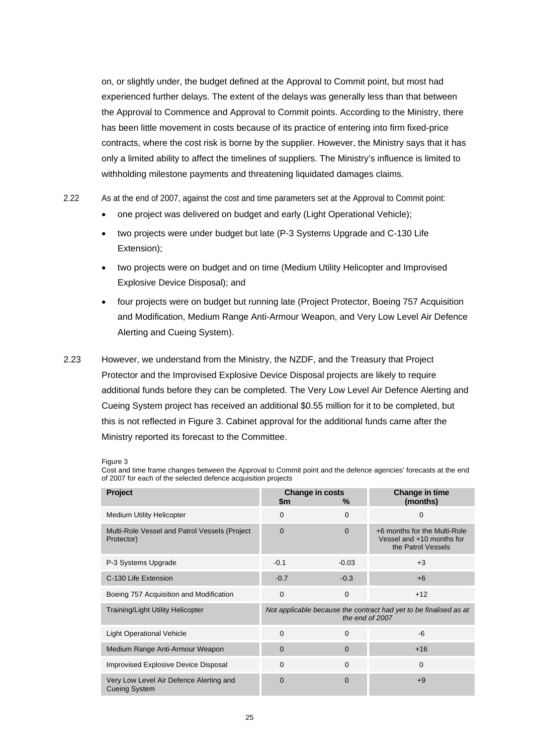on, or slightly under, the budget defined at the Approval to Commit point, but most had experienced further delays. The extent of the delays was generally less than that between the Approval to Commence and Approval to Commit points. According to the Ministry, there has been little movement in costs because of its practice of entering into firm fixed-price contracts, where the cost risk is borne by the supplier. However, the Ministry says that it has only a limited ability to affect the timelines of suppliers. The Ministry's influence is limited to withholding milestone payments and threatening liquidated damages claims.

- 2.22 As at the end of 2007, against the cost and time parameters set at the Approval to Commit point:
	- one project was delivered on budget and early (Light Operational Vehicle);
	- two projects were under budget but late (P-3 Systems Upgrade and C-130 Life Extension);
	- two projects were on budget and on time (Medium Utility Helicopter and Improvised Explosive Device Disposal); and
	- four projects were on budget but running late (Project Protector, Boeing 757 Acquisition and Modification, Medium Range Anti-Armour Weapon, and Very Low Level Air Defence Alerting and Cueing System).
- 2.23 However, we understand from the Ministry, the NZDF, and the Treasury that Project Protector and the Improvised Explosive Device Disposal projects are likely to require additional funds before they can be completed. The Very Low Level Air Defence Alerting and Cueing System project has received an additional \$0.55 million for it to be completed, but this is not reflected in Figure 3. Cabinet approval for the additional funds came after the Ministry reported its forecast to the Committee.

Figure 3

Cost and time frame changes between the Approval to Commit point and the defence agencies' forecasts at the end of 2007 for each of the selected defence acquisition projects

| <b>Project</b>                                                  | \$m                                                                                  | Change in costs<br>℅ | <b>Change in time</b><br>(months)                                               |
|-----------------------------------------------------------------|--------------------------------------------------------------------------------------|----------------------|---------------------------------------------------------------------------------|
| <b>Medium Utility Helicopter</b>                                | 0                                                                                    | 0                    | $\mathbf 0$                                                                     |
| Multi-Role Vessel and Patrol Vessels (Project<br>Protector)     | 0                                                                                    | 0                    | +6 months for the Multi-Role<br>Vessel and +10 months for<br>the Patrol Vessels |
| P-3 Systems Upgrade                                             | $-0.1$                                                                               | $-0.03$              | $+3$                                                                            |
| C-130 Life Extension                                            | $-0.7$                                                                               | $-0.3$               | $+6$                                                                            |
| Boeing 757 Acquisition and Modification                         | $\mathbf 0$                                                                          | $\mathbf 0$          | $+12$                                                                           |
| <b>Training/Light Utility Helicopter</b>                        | Not applicable because the contract had yet to be finalised as at<br>the end of 2007 |                      |                                                                                 |
| <b>Light Operational Vehicle</b>                                | $\Omega$                                                                             | $\Omega$             | -6                                                                              |
| Medium Range Anti-Armour Weapon                                 | 0                                                                                    | $\Omega$             | $+16$                                                                           |
| <b>Improvised Explosive Device Disposal</b>                     | $\Omega$                                                                             | $\Omega$             | $\Omega$                                                                        |
| Very Low Level Air Defence Alerting and<br><b>Cueing System</b> | 0                                                                                    | $\Omega$             | $+9$                                                                            |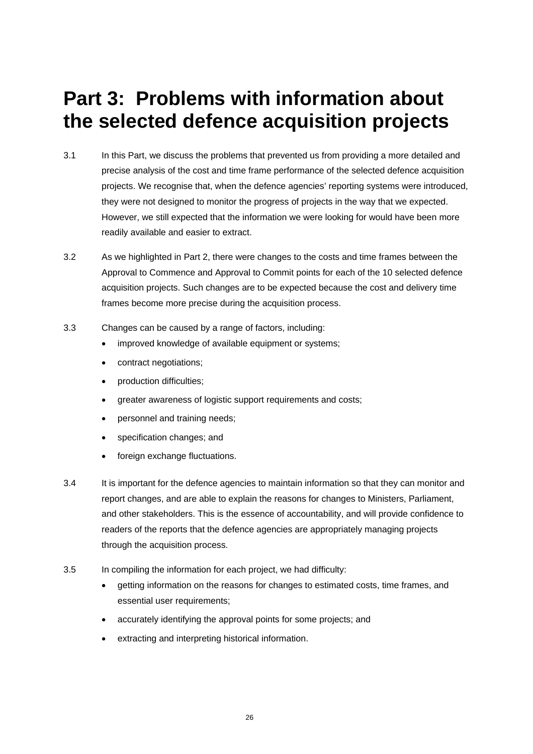# **Part 3: Problems with information about the selected defence acquisition projects**

- 3.1 In this Part, we discuss the problems that prevented us from providing a more detailed and precise analysis of the cost and time frame performance of the selected defence acquisition projects. We recognise that, when the defence agencies' reporting systems were introduced, they were not designed to monitor the progress of projects in the way that we expected. However, we still expected that the information we were looking for would have been more readily available and easier to extract.
- 3.2 As we highlighted in Part 2, there were changes to the costs and time frames between the Approval to Commence and Approval to Commit points for each of the 10 selected defence acquisition projects. Such changes are to be expected because the cost and delivery time frames become more precise during the acquisition process.
- 3.3 Changes can be caused by a range of factors, including:
	- improved knowledge of available equipment or systems;
	- contract negotiations;
	- production difficulties;
	- greater awareness of logistic support requirements and costs;
	- personnel and training needs;
	- specification changes; and
	- foreign exchange fluctuations.
- 3.4 It is important for the defence agencies to maintain information so that they can monitor and report changes, and are able to explain the reasons for changes to Ministers, Parliament, and other stakeholders. This is the essence of accountability, and will provide confidence to readers of the reports that the defence agencies are appropriately managing projects through the acquisition process.
- 3.5 In compiling the information for each project, we had difficulty:
	- getting information on the reasons for changes to estimated costs, time frames, and essential user requirements;
	- accurately identifying the approval points for some projects; and
	- extracting and interpreting historical information.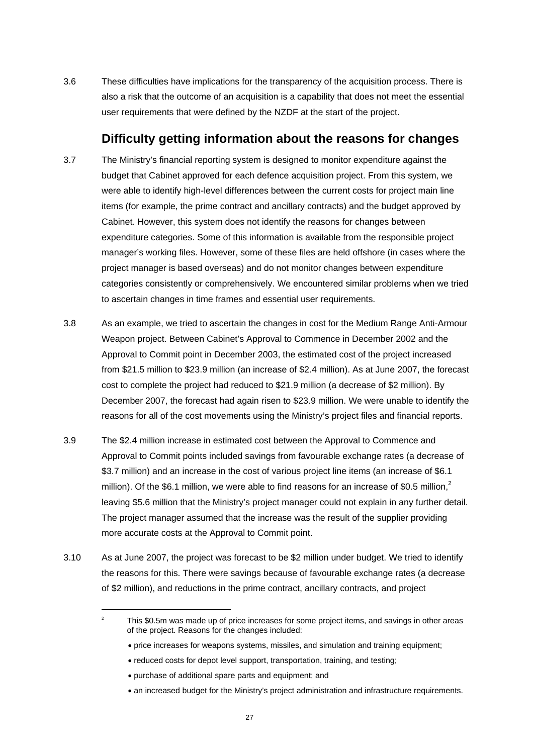3.6 These difficulties have implications for the transparency of the acquisition process. There is also a risk that the outcome of an acquisition is a capability that does not meet the essential user requirements that were defined by the NZDF at the start of the project.

## **Difficulty getting information about the reasons for changes**

- 3.7 The Ministry's financial reporting system is designed to monitor expenditure against the budget that Cabinet approved for each defence acquisition project. From this system, we were able to identify high-level differences between the current costs for project main line items (for example, the prime contract and ancillary contracts) and the budget approved by Cabinet. However, this system does not identify the reasons for changes between expenditure categories. Some of this information is available from the responsible project manager's working files. However, some of these files are held offshore (in cases where the project manager is based overseas) and do not monitor changes between expenditure categories consistently or comprehensively. We encountered similar problems when we tried to ascertain changes in time frames and essential user requirements.
- 3.8 As an example, we tried to ascertain the changes in cost for the Medium Range Anti-Armour Weapon project. Between Cabinet's Approval to Commence in December 2002 and the Approval to Commit point in December 2003, the estimated cost of the project increased from \$21.5 million to \$23.9 million (an increase of \$2.4 million). As at June 2007, the forecast cost to complete the project had reduced to \$21.9 million (a decrease of \$2 million). By December 2007, the forecast had again risen to \$23.9 million. We were unable to identify the reasons for all of the cost movements using the Ministry's project files and financial reports.
- 3.9 The \$2.4 million increase in estimated cost between the Approval to Commence and Approval to Commit points included savings from favourable exchange rates (a decrease of \$3.7 million) and an increase in the cost of various project line items (an increase of \$6.1 million). Of the \$6.1 million, we were able to find reasons for an increase of \$0.5 million,<sup>2</sup> leaving \$5.6 million that the Ministry's project manager could not explain in any further detail. The project manager assumed that the increase was the result of the supplier providing more accurate costs at the Approval to Commit point.
- 3.10 As at June 2007, the project was forecast to be \$2 million under budget. We tried to identify the reasons for this. There were savings because of favourable exchange rates (a decrease of \$2 million), and reductions in the prime contract, ancillary contracts, and project

• purchase of additional spare parts and equipment; and

l

 $\overline{2}$  This \$0.5m was made up of price increases for some project items, and savings in other areas of the project. Reasons for the changes included:

<sup>•</sup> price increases for weapons systems, missiles, and simulation and training equipment;

<sup>•</sup> reduced costs for depot level support, transportation, training, and testing;

<sup>•</sup> an increased budget for the Ministry's project administration and infrastructure requirements.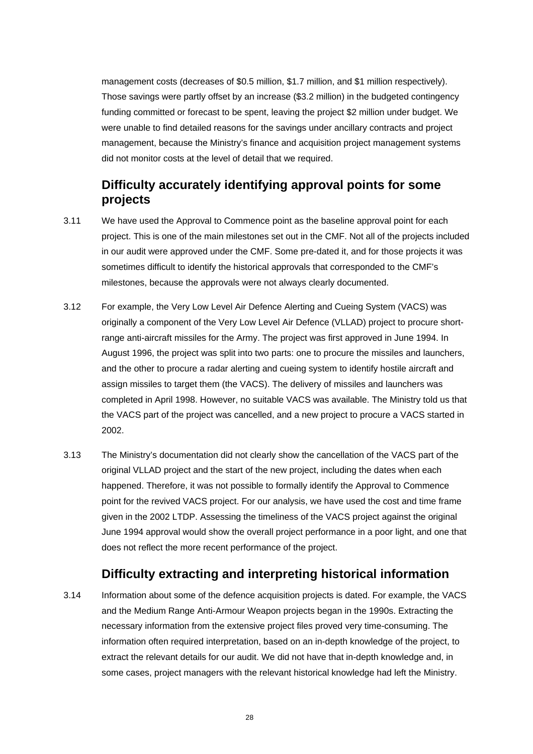management costs (decreases of \$0.5 million, \$1.7 million, and \$1 million respectively). Those savings were partly offset by an increase (\$3.2 million) in the budgeted contingency funding committed or forecast to be spent, leaving the project \$2 million under budget. We were unable to find detailed reasons for the savings under ancillary contracts and project management, because the Ministry's finance and acquisition project management systems did not monitor costs at the level of detail that we required.

# **Difficulty accurately identifying approval points for some projects**

- 3.11 We have used the Approval to Commence point as the baseline approval point for each project. This is one of the main milestones set out in the CMF. Not all of the projects included in our audit were approved under the CMF. Some pre-dated it, and for those projects it was sometimes difficult to identify the historical approvals that corresponded to the CMF's milestones, because the approvals were not always clearly documented.
- 3.12 For example, the Very Low Level Air Defence Alerting and Cueing System (VACS) was originally a component of the Very Low Level Air Defence (VLLAD) project to procure shortrange anti-aircraft missiles for the Army. The project was first approved in June 1994. In August 1996, the project was split into two parts: one to procure the missiles and launchers, and the other to procure a radar alerting and cueing system to identify hostile aircraft and assign missiles to target them (the VACS). The delivery of missiles and launchers was completed in April 1998. However, no suitable VACS was available. The Ministry told us that the VACS part of the project was cancelled, and a new project to procure a VACS started in 2002.
- 3.13 The Ministry's documentation did not clearly show the cancellation of the VACS part of the original VLLAD project and the start of the new project, including the dates when each happened. Therefore, it was not possible to formally identify the Approval to Commence point for the revived VACS project. For our analysis, we have used the cost and time frame given in the 2002 LTDP. Assessing the timeliness of the VACS project against the original June 1994 approval would show the overall project performance in a poor light, and one that does not reflect the more recent performance of the project.

# **Difficulty extracting and interpreting historical information**

3.14 Information about some of the defence acquisition projects is dated. For example, the VACS and the Medium Range Anti-Armour Weapon projects began in the 1990s. Extracting the necessary information from the extensive project files proved very time-consuming. The information often required interpretation, based on an in-depth knowledge of the project, to extract the relevant details for our audit. We did not have that in-depth knowledge and, in some cases, project managers with the relevant historical knowledge had left the Ministry.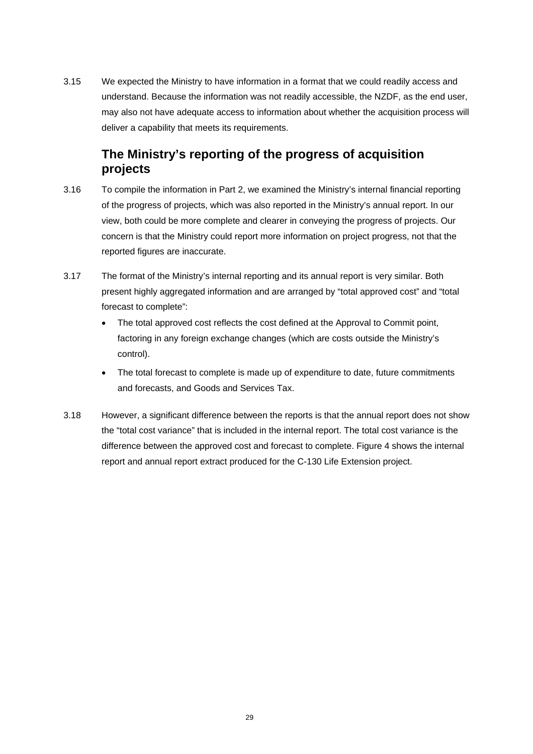3.15 We expected the Ministry to have information in a format that we could readily access and understand. Because the information was not readily accessible, the NZDF, as the end user, may also not have adequate access to information about whether the acquisition process will deliver a capability that meets its requirements.

# **The Ministry's reporting of the progress of acquisition projects**

- 3.16 To compile the information in Part 2, we examined the Ministry's internal financial reporting of the progress of projects, which was also reported in the Ministry's annual report. In our view, both could be more complete and clearer in conveying the progress of projects. Our concern is that the Ministry could report more information on project progress, not that the reported figures are inaccurate.
- 3.17 The format of the Ministry's internal reporting and its annual report is very similar. Both present highly aggregated information and are arranged by "total approved cost" and "total forecast to complete":
	- The total approved cost reflects the cost defined at the Approval to Commit point, factoring in any foreign exchange changes (which are costs outside the Ministry's control).
	- The total forecast to complete is made up of expenditure to date, future commitments and forecasts, and Goods and Services Tax.
- 3.18 However, a significant difference between the reports is that the annual report does not show the "total cost variance" that is included in the internal report. The total cost variance is the difference between the approved cost and forecast to complete. Figure 4 shows the internal report and annual report extract produced for the C-130 Life Extension project.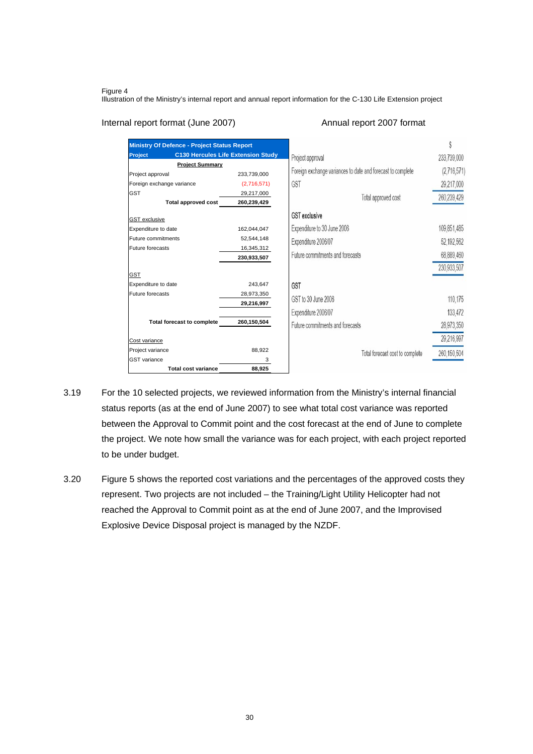#### Figure 4

Illustration of the Ministry's internal report and annual report information for the C-130 Life Extension project

### Internal report format (June 2007) Annual report 2007 format

| <b>Ministry Of Defence - Project Status Report</b> |                                           |                                                             |               |
|----------------------------------------------------|-------------------------------------------|-------------------------------------------------------------|---------------|
| Project                                            | <b>C130 Hercules Life Extension Study</b> | Project approval                                            | 233,739,000   |
| <b>Project Summary</b>                             |                                           |                                                             |               |
| Project approval                                   | 233,739,000                               | Foreign exchange variances to date and forecast to complete | (2,716,571)   |
| Foreign exchange variance                          | (2,716,571)                               | GST                                                         | 29,217,000    |
| <b>GST</b>                                         | 29,217,000                                | Total approved cost                                         | 260,239,429   |
| <b>Total approved cost</b>                         | 260,239,429                               |                                                             |               |
| <b>GST</b> exclusive                               |                                           | <b>GST</b> exclusive                                        |               |
| Expenditure to date                                | 162,044,047                               | Expenditure to 30 June 2006                                 | 109,851,485   |
| Future commitments                                 | 52,544,148                                | Expenditure 2006/07                                         | 52,192,562    |
| Future forecasts                                   | 16,345,312                                |                                                             |               |
|                                                    | 230,933,507                               | Future commitments and forecasts                            | 68,889,460    |
|                                                    |                                           |                                                             | 230,933,507   |
| <b>GST</b>                                         |                                           |                                                             |               |
| Expenditure to date<br>Future forecasts            | 243,647                                   | <b>GST</b>                                                  |               |
|                                                    | 28,973,350<br>29,216,997                  | GST to 30 June 2006                                         | 110,175       |
|                                                    |                                           | Expenditure 2006/07                                         | 133,472       |
| <b>Total forecast to complete</b>                  | 260,150,504                               | Future commitments and forecasts                            | 28,973,350    |
|                                                    |                                           |                                                             |               |
| Cost variance                                      |                                           |                                                             | 29,216,997    |
| Project variance                                   | 88,922                                    | Total forecast cost to complete                             | 260, 150, 504 |
| <b>GST</b> variance                                | 3                                         |                                                             |               |
| <b>Total cost variance</b>                         | 88,925                                    |                                                             |               |

- 3.19 For the 10 selected projects, we reviewed information from the Ministry's internal financial status reports (as at the end of June 2007) to see what total cost variance was reported between the Approval to Commit point and the cost forecast at the end of June to complete the project. We note how small the variance was for each project, with each project reported to be under budget.
- 3.20 Figure 5 shows the reported cost variations and the percentages of the approved costs they represent. Two projects are not included – the Training/Light Utility Helicopter had not reached the Approval to Commit point as at the end of June 2007, and the Improvised Explosive Device Disposal project is managed by the NZDF.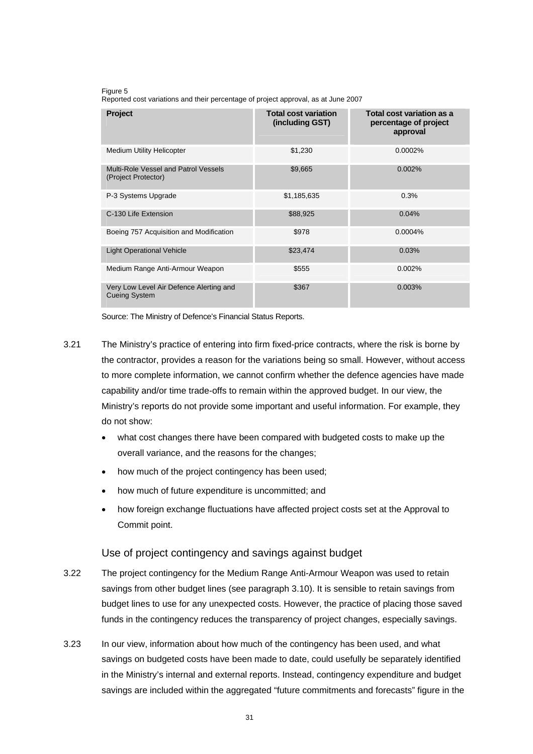Figure 5

Reported cost variations and their percentage of project approval, as at June 2007

| Project                                                         | <b>Total cost variation</b><br>(including GST) | Total cost variation as a<br>percentage of project<br>approval |
|-----------------------------------------------------------------|------------------------------------------------|----------------------------------------------------------------|
| <b>Medium Utility Helicopter</b>                                | \$1,230                                        | 0.0002%                                                        |
| Multi-Role Vessel and Patrol Vessels<br>(Project Protector)     | \$9,665                                        | 0.002%                                                         |
| P-3 Systems Upgrade                                             | \$1,185,635                                    | 0.3%                                                           |
| C-130 Life Extension                                            | \$88,925                                       | 0.04%                                                          |
| Boeing 757 Acquisition and Modification                         | \$978                                          | 0.0004%                                                        |
| <b>Light Operational Vehicle</b>                                | \$23,474                                       | 0.03%                                                          |
| Medium Range Anti-Armour Weapon                                 | \$555                                          | 0.002%                                                         |
| Very Low Level Air Defence Alerting and<br><b>Cueing System</b> | \$367                                          | 0.003%                                                         |

Source: The Ministry of Defence's Financial Status Reports.

- 3.21 The Ministry's practice of entering into firm fixed-price contracts, where the risk is borne by the contractor, provides a reason for the variations being so small. However, without access to more complete information, we cannot confirm whether the defence agencies have made capability and/or time trade-offs to remain within the approved budget. In our view, the Ministry's reports do not provide some important and useful information. For example, they do not show:
	- what cost changes there have been compared with budgeted costs to make up the overall variance, and the reasons for the changes;
	- how much of the project contingency has been used;
	- how much of future expenditure is uncommitted; and
	- how foreign exchange fluctuations have affected project costs set at the Approval to Commit point.

### Use of project contingency and savings against budget

- 3.22 The project contingency for the Medium Range Anti-Armour Weapon was used to retain savings from other budget lines (see paragraph 3.10). It is sensible to retain savings from budget lines to use for any unexpected costs. However, the practice of placing those saved funds in the contingency reduces the transparency of project changes, especially savings.
- 3.23 In our view, information about how much of the contingency has been used, and what savings on budgeted costs have been made to date, could usefully be separately identified in the Ministry's internal and external reports. Instead, contingency expenditure and budget savings are included within the aggregated "future commitments and forecasts" figure in the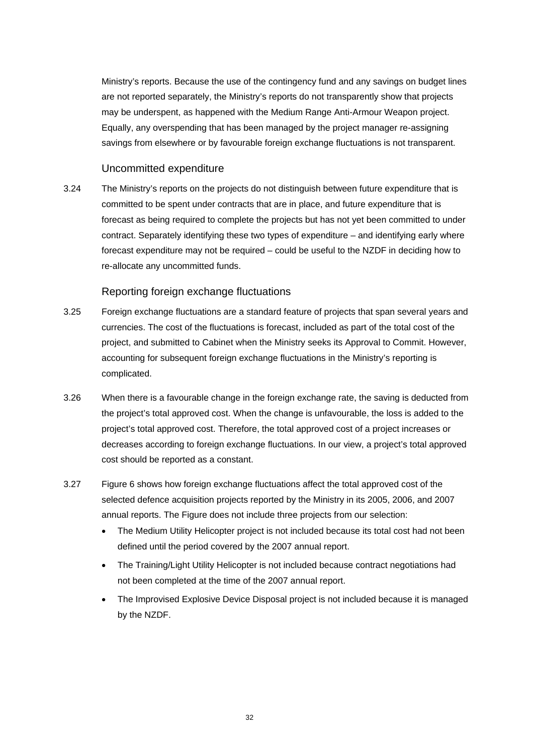Ministry's reports. Because the use of the contingency fund and any savings on budget lines are not reported separately, the Ministry's reports do not transparently show that projects may be underspent, as happened with the Medium Range Anti-Armour Weapon project. Equally, any overspending that has been managed by the project manager re-assigning savings from elsewhere or by favourable foreign exchange fluctuations is not transparent.

### Uncommitted expenditure

3.24 The Ministry's reports on the projects do not distinguish between future expenditure that is committed to be spent under contracts that are in place, and future expenditure that is forecast as being required to complete the projects but has not yet been committed to under contract. Separately identifying these two types of expenditure – and identifying early where forecast expenditure may not be required – could be useful to the NZDF in deciding how to re-allocate any uncommitted funds.

### Reporting foreign exchange fluctuations

- 3.25 Foreign exchange fluctuations are a standard feature of projects that span several years and currencies. The cost of the fluctuations is forecast, included as part of the total cost of the project, and submitted to Cabinet when the Ministry seeks its Approval to Commit. However, accounting for subsequent foreign exchange fluctuations in the Ministry's reporting is complicated.
- 3.26 When there is a favourable change in the foreign exchange rate, the saving is deducted from the project's total approved cost. When the change is unfavourable, the loss is added to the project's total approved cost. Therefore, the total approved cost of a project increases or decreases according to foreign exchange fluctuations. In our view, a project's total approved cost should be reported as a constant.
- 3.27 Figure 6 shows how foreign exchange fluctuations affect the total approved cost of the selected defence acquisition projects reported by the Ministry in its 2005, 2006, and 2007 annual reports. The Figure does not include three projects from our selection:
	- The Medium Utility Helicopter project is not included because its total cost had not been defined until the period covered by the 2007 annual report.
	- The Training/Light Utility Helicopter is not included because contract negotiations had not been completed at the time of the 2007 annual report.
	- The Improvised Explosive Device Disposal project is not included because it is managed by the NZDF.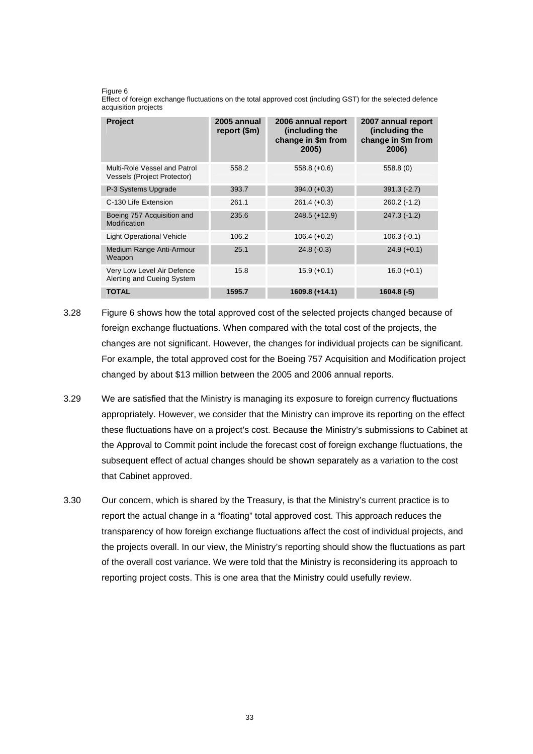#### Figure 6

Effect of foreign exchange fluctuations on the total approved cost (including GST) for the selected defence acquisition projects

| Project                                                     | 2005 annual<br>report (\$m) | 2006 annual report<br>(including the<br>change in \$m from<br>2005) | 2007 annual report<br>(including the<br>change in \$m from<br>2006) |
|-------------------------------------------------------------|-----------------------------|---------------------------------------------------------------------|---------------------------------------------------------------------|
| Multi-Role Vessel and Patrol<br>Vessels (Project Protector) | 558.2                       | $558.8 (+0.6)$                                                      | 558.8(0)                                                            |
| P-3 Systems Upgrade                                         | 393.7                       | $394.0 (+0.3)$                                                      | $391.3(-2.7)$                                                       |
| C-130 Life Extension                                        | 261.1                       | $261.4 (+0.3)$                                                      | $260.2(-1.2)$                                                       |
| Boeing 757 Acquisition and<br>Modification                  | 235.6                       | $248.5 (+12.9)$                                                     | $247.3(-1.2)$                                                       |
| <b>Light Operational Vehicle</b>                            | 106.2                       | $106.4 (+0.2)$                                                      | $106.3(-0.1)$                                                       |
| Medium Range Anti-Armour<br>Weapon                          | 25.1                        | $24.8(-0.3)$                                                        | $24.9 (+0.1)$                                                       |
| Very Low Level Air Defence<br>Alerting and Cueing System    | 15.8                        | $15.9 (+0.1)$                                                       | $16.0 (+0.1)$                                                       |
| <b>TOTAL</b>                                                | 1595.7                      | 1609.8 (+14.1)                                                      | $1604.8(-5)$                                                        |

- 3.28 Figure 6 shows how the total approved cost of the selected projects changed because of foreign exchange fluctuations. When compared with the total cost of the projects, the changes are not significant. However, the changes for individual projects can be significant. For example, the total approved cost for the Boeing 757 Acquisition and Modification project changed by about \$13 million between the 2005 and 2006 annual reports.
- 3.29 We are satisfied that the Ministry is managing its exposure to foreign currency fluctuations appropriately. However, we consider that the Ministry can improve its reporting on the effect these fluctuations have on a project's cost. Because the Ministry's submissions to Cabinet at the Approval to Commit point include the forecast cost of foreign exchange fluctuations, the subsequent effect of actual changes should be shown separately as a variation to the cost that Cabinet approved.
- 3.30 Our concern, which is shared by the Treasury, is that the Ministry's current practice is to report the actual change in a "floating" total approved cost. This approach reduces the transparency of how foreign exchange fluctuations affect the cost of individual projects, and the projects overall. In our view, the Ministry's reporting should show the fluctuations as part of the overall cost variance. We were told that the Ministry is reconsidering its approach to reporting project costs. This is one area that the Ministry could usefully review.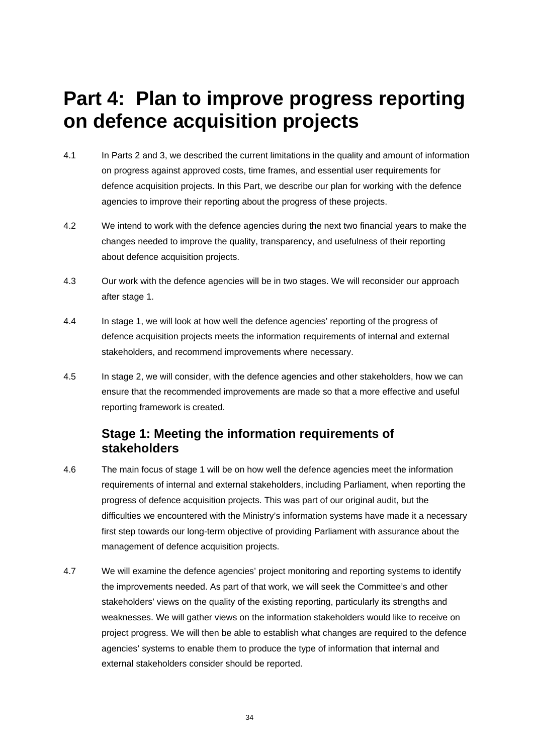# **Part 4: Plan to improve progress reporting on defence acquisition projects**

- 4.1 In Parts 2 and 3, we described the current limitations in the quality and amount of information on progress against approved costs, time frames, and essential user requirements for defence acquisition projects. In this Part, we describe our plan for working with the defence agencies to improve their reporting about the progress of these projects.
- 4.2 We intend to work with the defence agencies during the next two financial years to make the changes needed to improve the quality, transparency, and usefulness of their reporting about defence acquisition projects.
- 4.3 Our work with the defence agencies will be in two stages. We will reconsider our approach after stage 1.
- 4.4 In stage 1, we will look at how well the defence agencies' reporting of the progress of defence acquisition projects meets the information requirements of internal and external stakeholders, and recommend improvements where necessary.
- 4.5 In stage 2, we will consider, with the defence agencies and other stakeholders, how we can ensure that the recommended improvements are made so that a more effective and useful reporting framework is created.

# **Stage 1: Meeting the information requirements of stakeholders**

- 4.6 The main focus of stage 1 will be on how well the defence agencies meet the information requirements of internal and external stakeholders, including Parliament, when reporting the progress of defence acquisition projects. This was part of our original audit, but the difficulties we encountered with the Ministry's information systems have made it a necessary first step towards our long-term objective of providing Parliament with assurance about the management of defence acquisition projects.
- 4.7 We will examine the defence agencies' project monitoring and reporting systems to identify the improvements needed. As part of that work, we will seek the Committee's and other stakeholders' views on the quality of the existing reporting, particularly its strengths and weaknesses. We will gather views on the information stakeholders would like to receive on project progress. We will then be able to establish what changes are required to the defence agencies' systems to enable them to produce the type of information that internal and external stakeholders consider should be reported.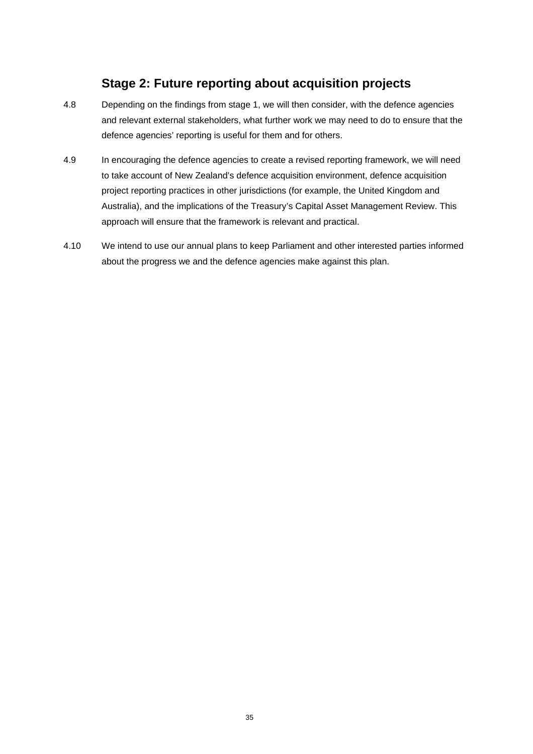# **Stage 2: Future reporting about acquisition projects**

- 4.8 Depending on the findings from stage 1, we will then consider, with the defence agencies and relevant external stakeholders, what further work we may need to do to ensure that the defence agencies' reporting is useful for them and for others.
- 4.9 In encouraging the defence agencies to create a revised reporting framework, we will need to take account of New Zealand's defence acquisition environment, defence acquisition project reporting practices in other jurisdictions (for example, the United Kingdom and Australia), and the implications of the Treasury's Capital Asset Management Review. This approach will ensure that the framework is relevant and practical.
- 4.10 We intend to use our annual plans to keep Parliament and other interested parties informed about the progress we and the defence agencies make against this plan.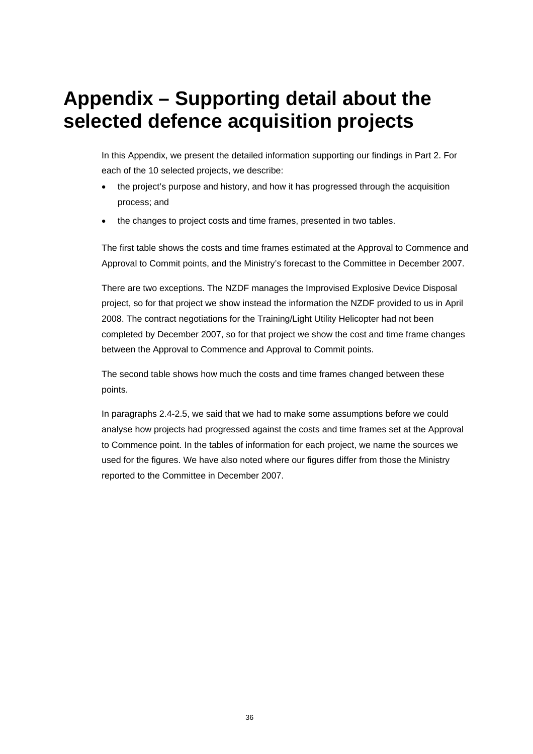# **Appendix – Supporting detail about the selected defence acquisition projects**

In this Appendix, we present the detailed information supporting our findings in Part 2. For each of the 10 selected projects, we describe:

- the project's purpose and history, and how it has progressed through the acquisition process; and
- the changes to project costs and time frames, presented in two tables.

The first table shows the costs and time frames estimated at the Approval to Commence and Approval to Commit points, and the Ministry's forecast to the Committee in December 2007.

There are two exceptions. The NZDF manages the Improvised Explosive Device Disposal project, so for that project we show instead the information the NZDF provided to us in April 2008. The contract negotiations for the Training/Light Utility Helicopter had not been completed by December 2007, so for that project we show the cost and time frame changes between the Approval to Commence and Approval to Commit points.

The second table shows how much the costs and time frames changed between these points.

In paragraphs 2.4-2.5, we said that we had to make some assumptions before we could analyse how projects had progressed against the costs and time frames set at the Approval to Commence point. In the tables of information for each project, we name the sources we used for the figures. We have also noted where our figures differ from those the Ministry reported to the Committee in December 2007.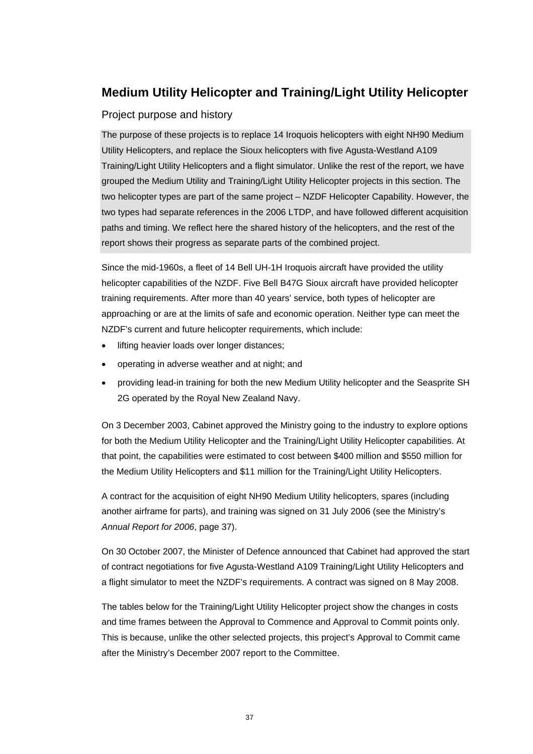# **Medium Utility Helicopter and Training/Light Utility Helicopter**

### Project purpose and history

The purpose of these projects is to replace 14 Iroquois helicopters with eight NH90 Medium Utility Helicopters, and replace the Sioux helicopters with five Agusta-Westland A109 Training/Light Utility Helicopters and a flight simulator. Unlike the rest of the report, we have grouped the Medium Utility and Training/Light Utility Helicopter projects in this section. The two helicopter types are part of the same project – NZDF Helicopter Capability. However, the two types had separate references in the 2006 LTDP, and have followed different acquisition paths and timing. We reflect here the shared history of the helicopters, and the rest of the report shows their progress as separate parts of the combined project.

Since the mid-1960s, a fleet of 14 Bell UH-1H Iroquois aircraft have provided the utility helicopter capabilities of the NZDF. Five Bell B47G Sioux aircraft have provided helicopter training requirements. After more than 40 years' service, both types of helicopter are approaching or are at the limits of safe and economic operation. Neither type can meet the NZDF's current and future helicopter requirements, which include:

- lifting heavier loads over longer distances;
- operating in adverse weather and at night; and
- providing lead-in training for both the new Medium Utility helicopter and the Seasprite SH 2G operated by the Royal New Zealand Navy.

On 3 December 2003, Cabinet approved the Ministry going to the industry to explore options for both the Medium Utility Helicopter and the Training/Light Utility Helicopter capabilities. At that point, the capabilities were estimated to cost between \$400 million and \$550 million for the Medium Utility Helicopters and \$11 million for the Training/Light Utility Helicopters.

A contract for the acquisition of eight NH90 Medium Utility helicopters, spares (including another airframe for parts), and training was signed on 31 July 2006 (see the Ministry's *Annual Report for 2006*, page 37).

On 30 October 2007, the Minister of Defence announced that Cabinet had approved the start of contract negotiations for five Agusta-Westland A109 Training/Light Utility Helicopters and a flight simulator to meet the NZDF's requirements. A contract was signed on 8 May 2008.

The tables below for the Training/Light Utility Helicopter project show the changes in costs and time frames between the Approval to Commence and Approval to Commit points only. This is because, unlike the other selected projects, this project's Approval to Commit came after the Ministry's December 2007 report to the Committee.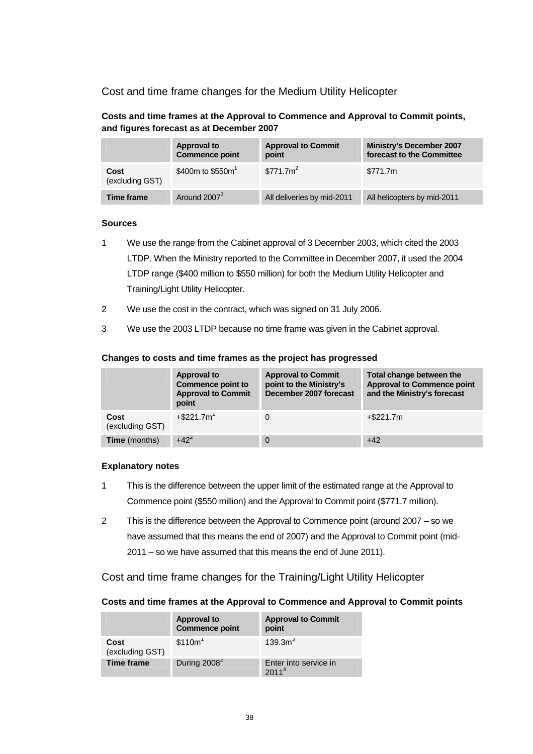Cost and time frame changes for the Medium Utility Helicopter

**Costs and time frames at the Approval to Commence and Approval to Commit points, and figures forecast as at December 2007** 

|                         | <b>Approval to</b><br><b>Commence point</b> | <b>Approval to Commit</b><br>point | <b>Ministry's December 2007</b><br>forecast to the Committee |
|-------------------------|---------------------------------------------|------------------------------------|--------------------------------------------------------------|
| Cost<br>(excluding GST) | \$400m to \$550m <sup>1</sup>               | \$771.7m <sup>2</sup>              | \$771.7m                                                     |
| Time frame              | Around 2007 <sup>3</sup>                    | All deliveries by mid-2011         | All helicopters by mid-2011                                  |

#### **Sources**

- 1 We use the range from the Cabinet approval of 3 December 2003, which cited the 2003 LTDP. When the Ministry reported to the Committee in December 2007, it used the 2004 LTDP range (\$400 million to \$550 million) for both the Medium Utility Helicopter and Training/Light Utility Helicopter.
- 2 We use the cost in the contract, which was signed on 31 July 2006.
- 3 We use the 2003 LTDP because no time frame was given in the Cabinet approval.

#### **Changes to costs and time frames as the project has progressed**

|                         | <b>Approval to</b><br>Commence point to<br><b>Approval to Commit</b><br>point | <b>Approval to Commit</b><br>point to the Ministry's<br>December 2007 forecast | Total change between the<br><b>Approval to Commence point</b><br>and the Ministry's forecast |
|-------------------------|-------------------------------------------------------------------------------|--------------------------------------------------------------------------------|----------------------------------------------------------------------------------------------|
| Cost<br>(excluding GST) | $+$ \$221.7m <sup>1</sup>                                                     | 0                                                                              | $+$ \$221.7m                                                                                 |
| <b>Time</b> (months)    | $+42^{2}$                                                                     | $\Omega$                                                                       | $+42$                                                                                        |

### **Explanatory notes**

- 1 This is the difference between the upper limit of the estimated range at the Approval to Commence point (\$550 million) and the Approval to Commit point (\$771.7 million).
- 2 This is the difference between the Approval to Commence point (around 2007 so we have assumed that this means the end of 2007) and the Approval to Commit point (mid-2011 – so we have assumed that this means the end of June 2011).

Cost and time frame changes for the Training/Light Utility Helicopter

#### **Costs and time frames at the Approval to Commence and Approval to Commit points**

|                         | <b>Approval to</b><br><b>Commence point</b> | <b>Approval to Commit</b><br>point         |
|-------------------------|---------------------------------------------|--------------------------------------------|
| Cost<br>(excluding GST) | $$110m$ <sup>1</sup>                        | 139.3m <sup>3</sup>                        |
| <b>Time frame</b>       | During $2008^2$                             | Enter into service in<br>2011 <sup>4</sup> |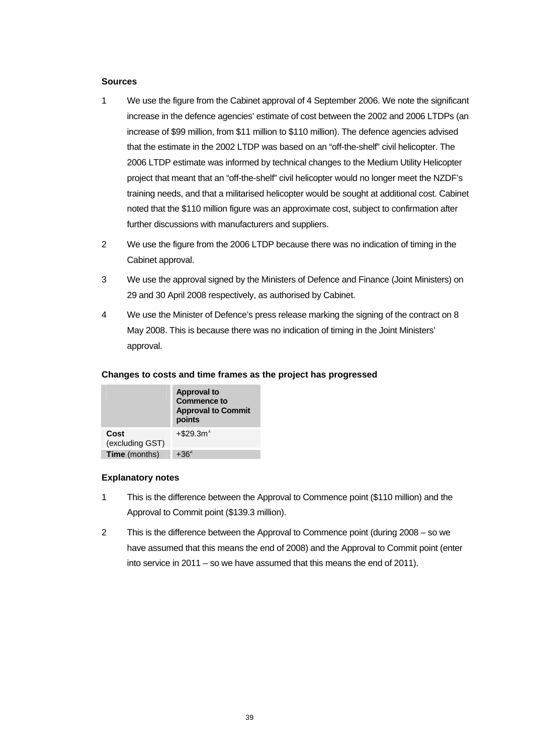#### **Sources**

- 1 We use the figure from the Cabinet approval of 4 September 2006. We note the significant increase in the defence agencies' estimate of cost between the 2002 and 2006 LTDPs (an increase of \$99 million, from \$11 million to \$110 million). The defence agencies advised that the estimate in the 2002 LTDP was based on an "off-the-shelf" civil helicopter. The 2006 LTDP estimate was informed by technical changes to the Medium Utility Helicopter project that meant that an "off-the-shelf" civil helicopter would no longer meet the NZDF's training needs, and that a militarised helicopter would be sought at additional cost. Cabinet noted that the \$110 million figure was an approximate cost, subject to confirmation after further discussions with manufacturers and suppliers.
- 2 We use the figure from the 2006 LTDP because there was no indication of timing in the Cabinet approval.
- 3 We use the approval signed by the Ministers of Defence and Finance (Joint Ministers) on 29 and 30 April 2008 respectively, as authorised by Cabinet.
- 4 We use the Minister of Defence's press release marking the signing of the contract on 8 May 2008. This is because there was no indication of timing in the Joint Ministers' approval.

| Changes to costs and time frames as the project has progressed |  |
|----------------------------------------------------------------|--|
|----------------------------------------------------------------|--|

|                         | <b>Approval to</b><br><b>Commence to</b><br><b>Approval to Commit</b><br>points |
|-------------------------|---------------------------------------------------------------------------------|
| Cost<br>(excluding GST) | $+$ \$29.3m <sup>1</sup>                                                        |
| Time (months)           | $+362$                                                                          |

#### **Explanatory notes**

- 1 This is the difference between the Approval to Commence point (\$110 million) and the Approval to Commit point (\$139.3 million).
- 2 This is the difference between the Approval to Commence point (during 2008 so we have assumed that this means the end of 2008) and the Approval to Commit point (enter into service in 2011 – so we have assumed that this means the end of 2011).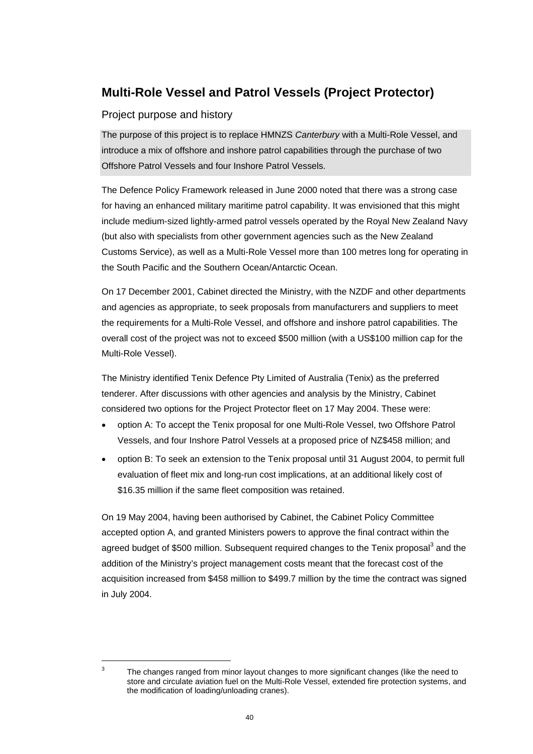# **Multi-Role Vessel and Patrol Vessels (Project Protector)**

### Project purpose and history

The purpose of this project is to replace HMNZS *Canterbury* with a Multi-Role Vessel, and introduce a mix of offshore and inshore patrol capabilities through the purchase of two Offshore Patrol Vessels and four Inshore Patrol Vessels.

The Defence Policy Framework released in June 2000 noted that there was a strong case for having an enhanced military maritime patrol capability. It was envisioned that this might include medium-sized lightly-armed patrol vessels operated by the Royal New Zealand Navy (but also with specialists from other government agencies such as the New Zealand Customs Service), as well as a Multi-Role Vessel more than 100 metres long for operating in the South Pacific and the Southern Ocean/Antarctic Ocean.

On 17 December 2001, Cabinet directed the Ministry, with the NZDF and other departments and agencies as appropriate, to seek proposals from manufacturers and suppliers to meet the requirements for a Multi-Role Vessel, and offshore and inshore patrol capabilities. The overall cost of the project was not to exceed \$500 million (with a US\$100 million cap for the Multi-Role Vessel).

The Ministry identified Tenix Defence Pty Limited of Australia (Tenix) as the preferred tenderer. After discussions with other agencies and analysis by the Ministry, Cabinet considered two options for the Project Protector fleet on 17 May 2004. These were:

- option A: To accept the Tenix proposal for one Multi-Role Vessel, two Offshore Patrol Vessels, and four Inshore Patrol Vessels at a proposed price of NZ\$458 million; and
- option B: To seek an extension to the Tenix proposal until 31 August 2004, to permit full evaluation of fleet mix and long-run cost implications, at an additional likely cost of \$16.35 million if the same fleet composition was retained.

On 19 May 2004, having been authorised by Cabinet, the Cabinet Policy Committee accepted option A, and granted Ministers powers to approve the final contract within the agreed budget of \$500 million. Subsequent required changes to the Tenix proposal<sup>3</sup> and the addition of the Ministry's project management costs meant that the forecast cost of the acquisition increased from \$458 million to \$499.7 million by the time the contract was signed in July 2004.

l 3

The changes ranged from minor layout changes to more significant changes (like the need to store and circulate aviation fuel on the Multi-Role Vessel, extended fire protection systems, and the modification of loading/unloading cranes).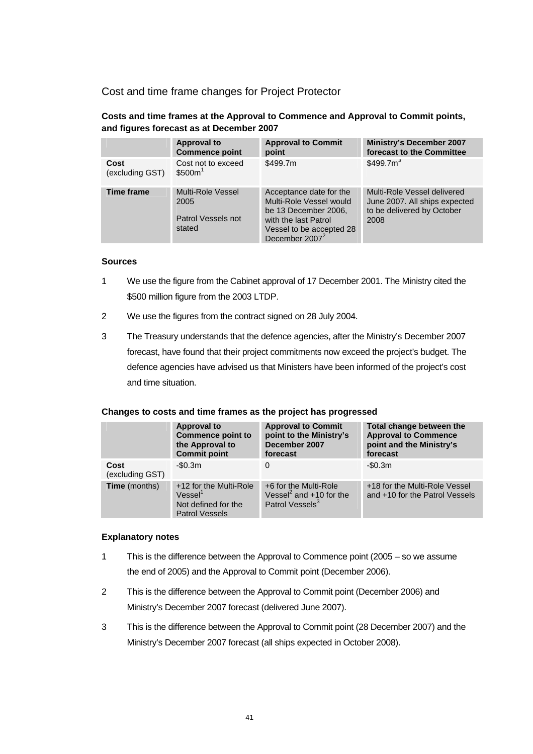Cost and time frame changes for Project Protector

**Costs and time frames at the Approval to Commence and Approval to Commit points, and figures forecast as at December 2007** 

|                         | <b>Approval to</b><br><b>Commence point</b>               | <b>Approval to Commit</b><br>point                                                                                                                           | <b>Ministry's December 2007</b><br>forecast to the Committee                                       |
|-------------------------|-----------------------------------------------------------|--------------------------------------------------------------------------------------------------------------------------------------------------------------|----------------------------------------------------------------------------------------------------|
| Cost<br>(excluding GST) | Cost not to exceed<br>\$500m                              | \$499.7m                                                                                                                                                     | \$499.7m <sup>3</sup>                                                                              |
| <b>Time frame</b>       | Multi-Role Vessel<br>2005<br>Patrol Vessels not<br>stated | Acceptance date for the<br>Multi-Role Vessel would<br>be 13 December 2006.<br>with the last Patrol<br>Vessel to be accepted 28<br>December 2007 <sup>2</sup> | Multi-Role Vessel delivered<br>June 2007. All ships expected<br>to be delivered by October<br>2008 |

#### **Sources**

- 1 We use the figure from the Cabinet approval of 17 December 2001. The Ministry cited the \$500 million figure from the 2003 LTDP.
- 2 We use the figures from the contract signed on 28 July 2004.
- 3 The Treasury understands that the defence agencies, after the Ministry's December 2007 forecast, have found that their project commitments now exceed the project's budget. The defence agencies have advised us that Ministers have been informed of the project's cost and time situation.

|                         | <b>Approval to</b><br><b>Commence point to</b><br>the Approval to<br><b>Commit point</b>      | <b>Approval to Commit</b><br>point to the Ministry's<br>December 2007<br>forecast             | Total change between the<br><b>Approval to Commence</b><br>point and the Ministry's<br>forecast |
|-------------------------|-----------------------------------------------------------------------------------------------|-----------------------------------------------------------------------------------------------|-------------------------------------------------------------------------------------------------|
| Cost<br>(excluding GST) | $-$0.3m$                                                                                      | $\Omega$                                                                                      | $-$0.3m$                                                                                        |
| <b>Time</b> (months)    | +12 for the Multi-Role<br>Vessel <sup>1</sup><br>Not defined for the<br><b>Patrol Vessels</b> | +6 for the Multi-Role<br>Vessel <sup>2</sup> and $+10$ for the<br>Patrol Vessels <sup>3</sup> | +18 for the Multi-Role Vessel<br>and +10 for the Patrol Vessels                                 |

#### **Explanatory notes**

- 1 This is the difference between the Approval to Commence point (2005 so we assume the end of 2005) and the Approval to Commit point (December 2006).
- 2 This is the difference between the Approval to Commit point (December 2006) and Ministry's December 2007 forecast (delivered June 2007).
- 3 This is the difference between the Approval to Commit point (28 December 2007) and the Ministry's December 2007 forecast (all ships expected in October 2008).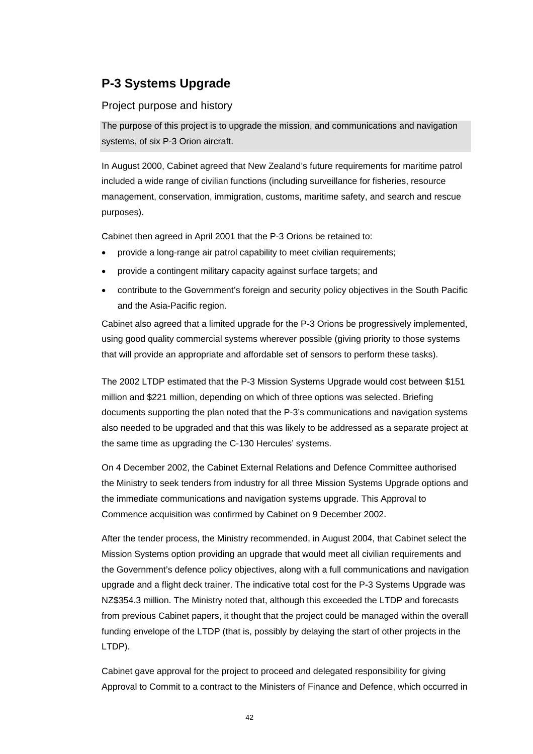# **P-3 Systems Upgrade**

### Project purpose and history

The purpose of this project is to upgrade the mission, and communications and navigation systems, of six P-3 Orion aircraft.

In August 2000, Cabinet agreed that New Zealand's future requirements for maritime patrol included a wide range of civilian functions (including surveillance for fisheries, resource management, conservation, immigration, customs, maritime safety, and search and rescue purposes).

Cabinet then agreed in April 2001 that the P-3 Orions be retained to:

- provide a long-range air patrol capability to meet civilian requirements;
- provide a contingent military capacity against surface targets; and
- contribute to the Government's foreign and security policy objectives in the South Pacific and the Asia-Pacific region.

Cabinet also agreed that a limited upgrade for the P-3 Orions be progressively implemented, using good quality commercial systems wherever possible (giving priority to those systems that will provide an appropriate and affordable set of sensors to perform these tasks).

The 2002 LTDP estimated that the P-3 Mission Systems Upgrade would cost between \$151 million and \$221 million, depending on which of three options was selected. Briefing documents supporting the plan noted that the P-3's communications and navigation systems also needed to be upgraded and that this was likely to be addressed as a separate project at the same time as upgrading the C-130 Hercules' systems.

On 4 December 2002, the Cabinet External Relations and Defence Committee authorised the Ministry to seek tenders from industry for all three Mission Systems Upgrade options and the immediate communications and navigation systems upgrade. This Approval to Commence acquisition was confirmed by Cabinet on 9 December 2002.

After the tender process, the Ministry recommended, in August 2004, that Cabinet select the Mission Systems option providing an upgrade that would meet all civilian requirements and the Government's defence policy objectives, along with a full communications and navigation upgrade and a flight deck trainer. The indicative total cost for the P-3 Systems Upgrade was NZ\$354.3 million. The Ministry noted that, although this exceeded the LTDP and forecasts from previous Cabinet papers, it thought that the project could be managed within the overall funding envelope of the LTDP (that is, possibly by delaying the start of other projects in the LTDP).

Cabinet gave approval for the project to proceed and delegated responsibility for giving Approval to Commit to a contract to the Ministers of Finance and Defence, which occurred in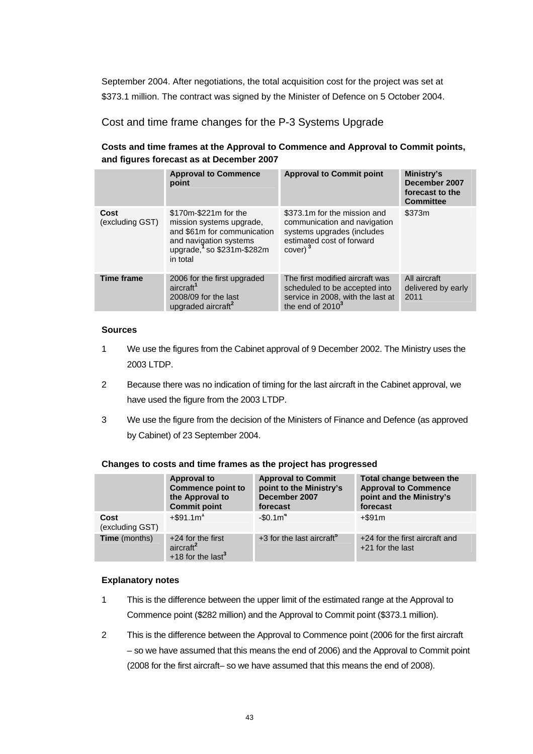September 2004. After negotiations, the total acquisition cost for the project was set at \$373.1 million. The contract was signed by the Minister of Defence on 5 October 2004.

Cost and time frame changes for the P-3 Systems Upgrade

### **Costs and time frames at the Approval to Commence and Approval to Commit points, and figures forecast as at December 2007**

|                         | <b>Approval to Commence</b><br>point                                                                                                                    | <b>Approval to Commit point</b>                                                                                                                | Ministry's<br>December 2007<br>forecast to the<br><b>Committee</b> |
|-------------------------|---------------------------------------------------------------------------------------------------------------------------------------------------------|------------------------------------------------------------------------------------------------------------------------------------------------|--------------------------------------------------------------------|
| Cost<br>(excluding GST) | \$170m-\$221m for the<br>mission systems upgrade.<br>and \$61m for communication<br>and navigation systems<br>upgrade, $1$ so \$231m-\$282m<br>in total | \$373.1m for the mission and<br>communication and navigation<br>systems upgrades (includes<br>estimated cost of forward<br>cover) <sup>3</sup> | \$373m                                                             |
| <b>Time frame</b>       | 2006 for the first upgraded<br>aircraft <sup>1</sup><br>2008/09 for the last<br>upgraded aircraft <sup>2</sup>                                          | The first modified aircraft was<br>scheduled to be accepted into<br>service in 2008, with the last at<br>the end of $2010^3$                   | All aircraft<br>delivered by early<br>2011                         |

### **Sources**

- 1 We use the figures from the Cabinet approval of 9 December 2002. The Ministry uses the 2003 LTDP.
- 2 Because there was no indication of timing for the last aircraft in the Cabinet approval, we have used the figure from the 2003 LTDP.
- 3 We use the figure from the decision of the Ministers of Finance and Defence (as approved by Cabinet) of 23 September 2004.

|                         | <b>Approval to</b><br><b>Commence point to</b><br>the Approval to<br><b>Commit point</b> | <b>Approval to Commit</b><br>point to the Ministry's<br>December 2007<br>forecast | Total change between the<br><b>Approval to Commence</b><br>point and the Ministry's<br>forecast |  |
|-------------------------|------------------------------------------------------------------------------------------|-----------------------------------------------------------------------------------|-------------------------------------------------------------------------------------------------|--|
| Cost<br>(excluding GST) | $+$ \$91.1m <sup>1</sup>                                                                 | $-$0.1m4$                                                                         | $+$ \$91 $m$                                                                                    |  |
| <b>Time</b> (months)    | $+24$ for the first<br>aircraft <sup>2</sup><br>$+18$ for the last <sup>3</sup>          | +3 for the last aircraft <sup>5</sup>                                             | +24 for the first aircraft and<br>$+21$ for the last                                            |  |

### **Changes to costs and time frames as the project has progressed**

### **Explanatory notes**

- 1 This is the difference between the upper limit of the estimated range at the Approval to Commence point (\$282 million) and the Approval to Commit point (\$373.1 million).
- 2 This is the difference between the Approval to Commence point (2006 for the first aircraft – so we have assumed that this means the end of 2006) and the Approval to Commit point (2008 for the first aircraft– so we have assumed that this means the end of 2008).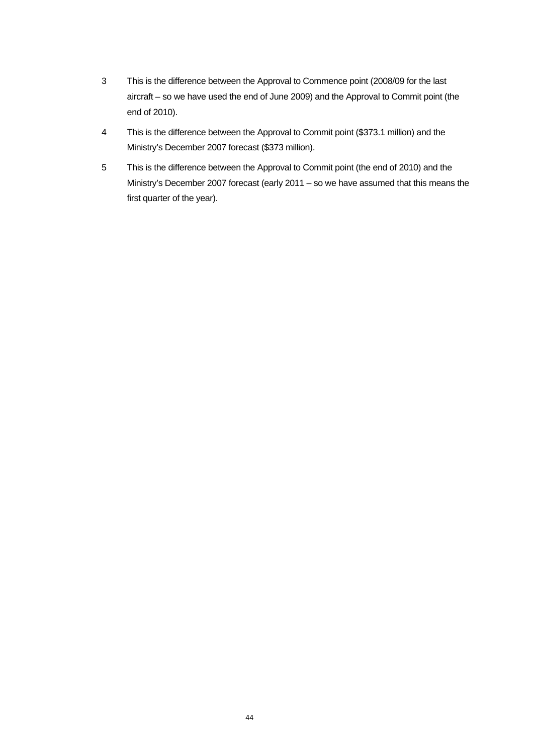- 3 This is the difference between the Approval to Commence point (2008/09 for the last aircraft – so we have used the end of June 2009) and the Approval to Commit point (the end of 2010).
- 4 This is the difference between the Approval to Commit point (\$373.1 million) and the Ministry's December 2007 forecast (\$373 million).
- 5 This is the difference between the Approval to Commit point (the end of 2010) and the Ministry's December 2007 forecast (early 2011 – so we have assumed that this means the first quarter of the year).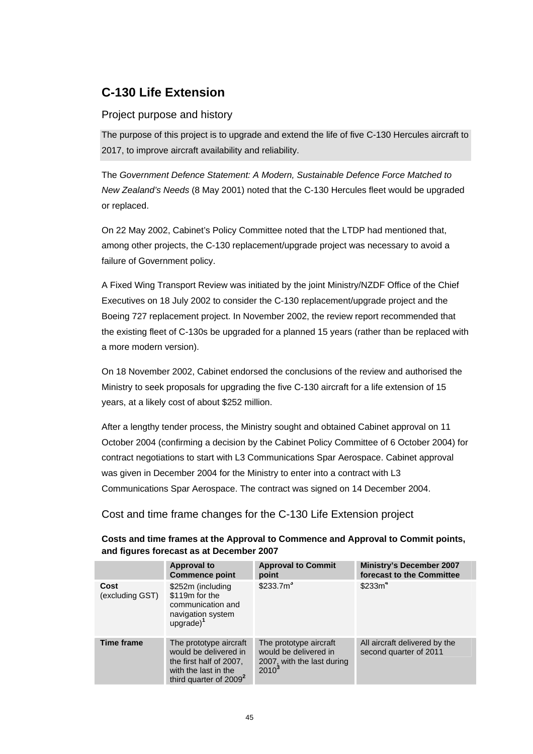# **C-130 Life Extension**

### Project purpose and history

The purpose of this project is to upgrade and extend the life of five C-130 Hercules aircraft to 2017, to improve aircraft availability and reliability.

The *Government Defence Statement: A Modern, Sustainable Defence Force Matched to New Zealand's Needs* (8 May 2001) noted that the C-130 Hercules fleet would be upgraded or replaced.

On 22 May 2002, Cabinet's Policy Committee noted that the LTDP had mentioned that, among other projects, the C-130 replacement/upgrade project was necessary to avoid a failure of Government policy.

A Fixed Wing Transport Review was initiated by the joint Ministry/NZDF Office of the Chief Executives on 18 July 2002 to consider the C-130 replacement/upgrade project and the Boeing 727 replacement project. In November 2002, the review report recommended that the existing fleet of C-130s be upgraded for a planned 15 years (rather than be replaced with a more modern version).

On 18 November 2002, Cabinet endorsed the conclusions of the review and authorised the Ministry to seek proposals for upgrading the five C-130 aircraft for a life extension of 15 years, at a likely cost of about \$252 million.

After a lengthy tender process, the Ministry sought and obtained Cabinet approval on 11 October 2004 (confirming a decision by the Cabinet Policy Committee of 6 October 2004) for contract negotiations to start with L3 Communications Spar Aerospace. Cabinet approval was given in December 2004 for the Ministry to enter into a contract with L3 Communications Spar Aerospace. The contract was signed on 14 December 2004.

Cost and time frame changes for the C-130 Life Extension project

|                         | <b>Approval to</b><br><b>Commence point</b>                                                                                     | <b>Approval to Commit</b><br>point                                                        | <b>Ministry's December 2007</b><br>forecast to the Committee |
|-------------------------|---------------------------------------------------------------------------------------------------------------------------------|-------------------------------------------------------------------------------------------|--------------------------------------------------------------|
| Cost<br>(excluding GST) | \$252m (including<br>\$119m for the<br>communication and<br>navigation system<br>$upgrade)^1$                                   | \$233.7m <sup>3</sup>                                                                     | \$233m <sup>4</sup>                                          |
| <b>Time frame</b>       | The prototype aircraft<br>would be delivered in<br>the first half of 2007.<br>with the last in the<br>third quarter of $2009^2$ | The prototype aircraft<br>would be delivered in<br>2007, with the last during<br>$2010^3$ | All aircraft delivered by the<br>second quarter of 2011      |

### **Costs and time frames at the Approval to Commence and Approval to Commit points, and figures forecast as at December 2007**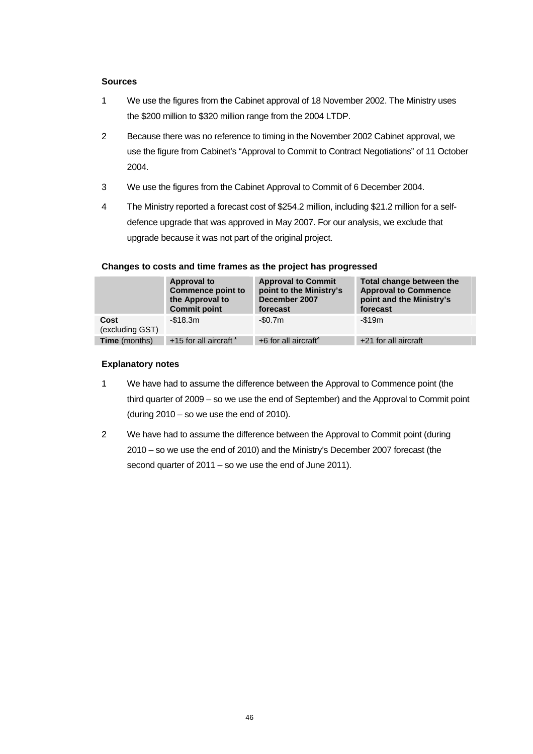#### **Sources**

- 1 We use the figures from the Cabinet approval of 18 November 2002. The Ministry uses the \$200 million to \$320 million range from the 2004 LTDP.
- 2 Because there was no reference to timing in the November 2002 Cabinet approval, we use the figure from Cabinet's "Approval to Commit to Contract Negotiations" of 11 October 2004.
- 3 We use the figures from the Cabinet Approval to Commit of 6 December 2004.
- 4 The Ministry reported a forecast cost of \$254.2 million, including \$21.2 million for a selfdefence upgrade that was approved in May 2007. For our analysis, we exclude that upgrade because it was not part of the original project.

|                         | Approval to<br><b>Commence point to</b><br>the Approval to<br><b>Commit point</b> | <b>Approval to Commit</b><br>point to the Ministry's<br>December 2007<br>forecast | Total change between the<br><b>Approval to Commence</b><br>point and the Ministry's<br>forecast |
|-------------------------|-----------------------------------------------------------------------------------|-----------------------------------------------------------------------------------|-------------------------------------------------------------------------------------------------|
| Cost<br>(excluding GST) | $-$18.3m$                                                                         | $-$0.7m$                                                                          | $-$ \$19m                                                                                       |
| <b>Time</b> (months)    | +15 for all aircraft <sup>1</sup>                                                 | $+6$ for all aircraft <sup>2</sup>                                                | +21 for all aircraft                                                                            |

#### **Changes to costs and time frames as the project has progressed**

### **Explanatory notes**

- 1 We have had to assume the difference between the Approval to Commence point (the third quarter of 2009 – so we use the end of September) and the Approval to Commit point (during  $2010 -$  so we use the end of 2010).
- 2 We have had to assume the difference between the Approval to Commit point (during 2010 – so we use the end of 2010) and the Ministry's December 2007 forecast (the second quarter of 2011 – so we use the end of June 2011).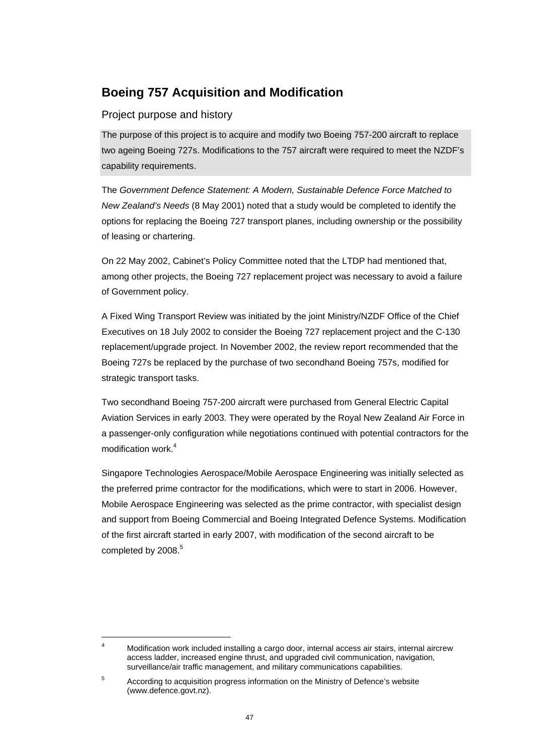# **Boeing 757 Acquisition and Modification**

### Project purpose and history

The purpose of this project is to acquire and modify two Boeing 757-200 aircraft to replace two ageing Boeing 727s. Modifications to the 757 aircraft were required to meet the NZDF's capability requirements.

The *Government Defence Statement: A Modern, Sustainable Defence Force Matched to New Zealand's Needs* (8 May 2001) noted that a study would be completed to identify the options for replacing the Boeing 727 transport planes, including ownership or the possibility of leasing or chartering.

On 22 May 2002, Cabinet's Policy Committee noted that the LTDP had mentioned that, among other projects, the Boeing 727 replacement project was necessary to avoid a failure of Government policy.

A Fixed Wing Transport Review was initiated by the joint Ministry/NZDF Office of the Chief Executives on 18 July 2002 to consider the Boeing 727 replacement project and the C-130 replacement/upgrade project. In November 2002, the review report recommended that the Boeing 727s be replaced by the purchase of two secondhand Boeing 757s, modified for strategic transport tasks.

Two secondhand Boeing 757-200 aircraft were purchased from General Electric Capital Aviation Services in early 2003. They were operated by the Royal New Zealand Air Force in a passenger-only configuration while negotiations continued with potential contractors for the modification work.<sup>4</sup>

Singapore Technologies Aerospace/Mobile Aerospace Engineering was initially selected as the preferred prime contractor for the modifications, which were to start in 2006. However, Mobile Aerospace Engineering was selected as the prime contractor, with specialist design and support from Boeing Commercial and Boeing Integrated Defence Systems. Modification of the first aircraft started in early 2007, with modification of the second aircraft to be completed by 2008.<sup>5</sup>

l

<sup>4</sup> Modification work included installing a cargo door, internal access air stairs, internal aircrew access ladder, increased engine thrust, and upgraded civil communication, navigation, surveillance/air traffic management, and military communications capabilities.

<sup>5</sup> According to acquisition progress information on the Ministry of Defence's website (www.defence.govt.nz).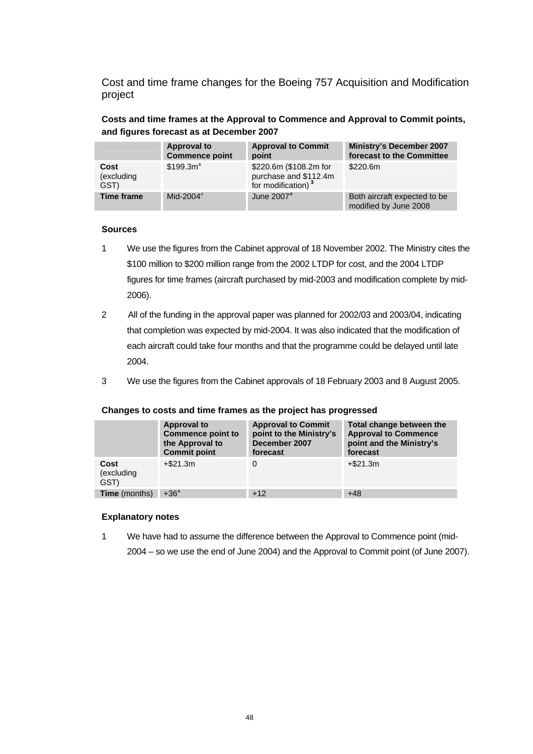Cost and time frame changes for the Boeing 757 Acquisition and Modification project

**Costs and time frames at the Approval to Commence and Approval to Commit points, and figures forecast as at December 2007** 

|                            | <b>Approval to</b><br><b>Commence point</b> | <b>Approval to Commit</b><br>point                                                | <b>Ministry's December 2007</b><br>forecast to the Committee |
|----------------------------|---------------------------------------------|-----------------------------------------------------------------------------------|--------------------------------------------------------------|
| Cost<br>(excluding<br>GST) | \$199.3m <sup>1</sup>                       | \$220.6m (\$108.2m for<br>purchase and \$112.4m<br>for modification) <sup>3</sup> | \$220.6m                                                     |
| <b>Time frame</b>          | Mid-2004 $2$                                | June 2007 <sup>3</sup>                                                            | Both aircraft expected to be<br>modified by June 2008        |

#### **Sources**

- 1 We use the figures from the Cabinet approval of 18 November 2002. The Ministry cites the \$100 million to \$200 million range from the 2002 LTDP for cost, and the 2004 LTDP figures for time frames (aircraft purchased by mid-2003 and modification complete by mid-2006).
- 2 All of the funding in the approval paper was planned for 2002/03 and 2003/04, indicating that completion was expected by mid-2004. It was also indicated that the modification of each aircraft could take four months and that the programme could be delayed until late 2004.
- 3 We use the figures from the Cabinet approvals of 18 February 2003 and 8 August 2005.

| Changes to costs and three manies as the project has progressed |                                                                                   |                                                                                   |                                                                                                 |  |
|-----------------------------------------------------------------|-----------------------------------------------------------------------------------|-----------------------------------------------------------------------------------|-------------------------------------------------------------------------------------------------|--|
|                                                                 | Approval to<br><b>Commence point to</b><br>the Approval to<br><b>Commit point</b> | <b>Approval to Commit</b><br>point to the Ministry's<br>December 2007<br>forecast | Total change between the<br><b>Approval to Commence</b><br>point and the Ministry's<br>forecast |  |
| Cost                                                            | $+ $21.3m$                                                                        |                                                                                   | $+ $21.3m$                                                                                      |  |

### **Changes to costs and time frames as the project has progressed**

**Time** (months)  $+36^1$   $+12$   $+48$ 

#### **Explanatory notes**

(excluding GST)

1 We have had to assume the difference between the Approval to Commence point (mid-2004 – so we use the end of June 2004) and the Approval to Commit point (of June 2007).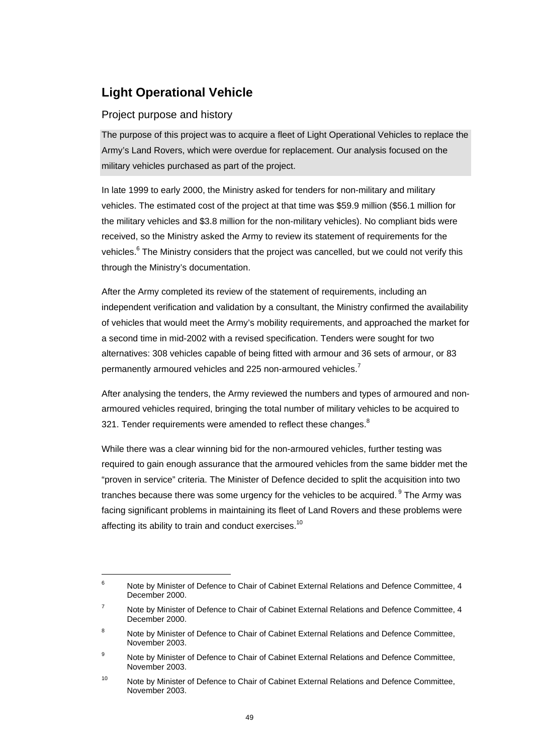# **Light Operational Vehicle**

### Project purpose and history

l

The purpose of this project was to acquire a fleet of Light Operational Vehicles to replace the Army's Land Rovers, which were overdue for replacement. Our analysis focused on the military vehicles purchased as part of the project.

In late 1999 to early 2000, the Ministry asked for tenders for non-military and military vehicles. The estimated cost of the project at that time was \$59.9 million (\$56.1 million for the military vehicles and \$3.8 million for the non-military vehicles). No compliant bids were received, so the Ministry asked the Army to review its statement of requirements for the vehicles.<sup>6</sup> The Ministry considers that the project was cancelled, but we could not verify this through the Ministry's documentation.

After the Army completed its review of the statement of requirements, including an independent verification and validation by a consultant, the Ministry confirmed the availability of vehicles that would meet the Army's mobility requirements, and approached the market for a second time in mid-2002 with a revised specification. Tenders were sought for two alternatives: 308 vehicles capable of being fitted with armour and 36 sets of armour, or 83 permanently armoured vehicles and 225 non-armoured vehicles.<sup>7</sup>

After analysing the tenders, the Army reviewed the numbers and types of armoured and nonarmoured vehicles required, bringing the total number of military vehicles to be acquired to 321. Tender requirements were amended to reflect these changes. $8$ 

While there was a clear winning bid for the non-armoured vehicles, further testing was required to gain enough assurance that the armoured vehicles from the same bidder met the "proven in service" criteria. The Minister of Defence decided to split the acquisition into two tranches because there was some urgency for the vehicles to be acquired.  $9$  The Army was facing significant problems in maintaining its fleet of Land Rovers and these problems were affecting its ability to train and conduct exercises.<sup>10</sup>

<sup>6</sup> Note by Minister of Defence to Chair of Cabinet External Relations and Defence Committee, 4 December 2000.

<sup>7</sup> Note by Minister of Defence to Chair of Cabinet External Relations and Defence Committee, 4 December 2000.

<sup>8</sup> Note by Minister of Defence to Chair of Cabinet External Relations and Defence Committee, November 2003.

<sup>9</sup> Note by Minister of Defence to Chair of Cabinet External Relations and Defence Committee, November 2003.

<sup>&</sup>lt;sup>10</sup> Note by Minister of Defence to Chair of Cabinet External Relations and Defence Committee. November 2003.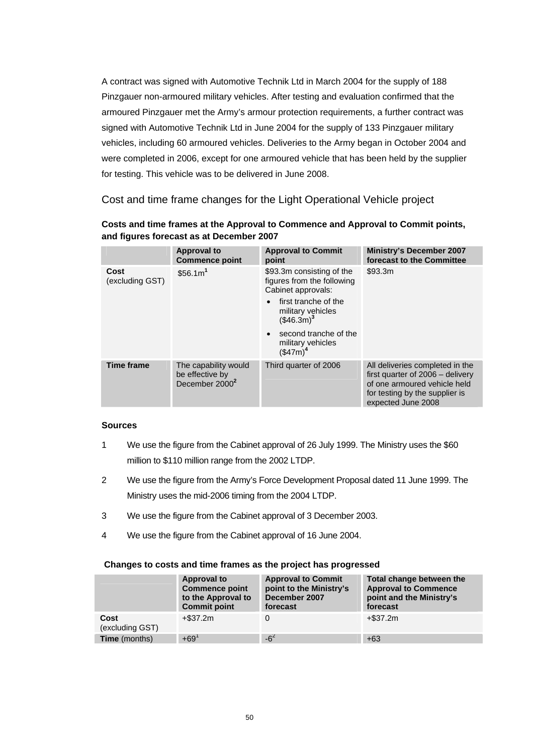A contract was signed with Automotive Technik Ltd in March 2004 for the supply of 188 Pinzgauer non-armoured military vehicles. After testing and evaluation confirmed that the armoured Pinzgauer met the Army's armour protection requirements, a further contract was signed with Automotive Technik Ltd in June 2004 for the supply of 133 Pinzgauer military vehicles, including 60 armoured vehicles. Deliveries to the Army began in October 2004 and were completed in 2006, except for one armoured vehicle that has been held by the supplier for testing. This vehicle was to be delivered in June 2008.

Cost and time frame changes for the Light Operational Vehicle project

| Costs and time frames at the Approval to Commence and Approval to Commit points, |
|----------------------------------------------------------------------------------|
| and figures forecast as at December 2007                                         |

|                         | <b>Approval to</b><br><b>Commence point</b>                           | <b>Approval to Commit</b><br>point                                            | <b>Ministry's December 2007</b><br>forecast to the Committee                                                                                                |
|-------------------------|-----------------------------------------------------------------------|-------------------------------------------------------------------------------|-------------------------------------------------------------------------------------------------------------------------------------------------------------|
| Cost<br>(excluding GST) | \$56.1m <sup>1</sup>                                                  | \$93.3m consisting of the<br>figures from the following<br>Cabinet approvals: | \$93.3m                                                                                                                                                     |
|                         |                                                                       | first tranche of the<br>military vehicles<br>$($46.3m)^3$                     |                                                                                                                                                             |
|                         |                                                                       | second tranche of the<br>military vehicles<br>$($ \$47m $)^4$                 |                                                                                                                                                             |
| <b>Time frame</b>       | The capability would<br>be effective by<br>December 2000 <sup>2</sup> | Third quarter of 2006                                                         | All deliveries completed in the<br>first quarter of 2006 - delivery<br>of one armoured vehicle held<br>for testing by the supplier is<br>expected June 2008 |

### **Sources**

- 1 We use the figure from the Cabinet approval of 26 July 1999. The Ministry uses the \$60 million to \$110 million range from the 2002 LTDP.
- 2 We use the figure from the Army's Force Development Proposal dated 11 June 1999. The Ministry uses the mid-2006 timing from the 2004 LTDP.
- 3 We use the figure from the Cabinet approval of 3 December 2003.
- 4 We use the figure from the Cabinet approval of 16 June 2004.

### **Changes to costs and time frames as the project has progressed**

|                         | Approval to<br><b>Commence point</b><br>to the Approval to<br><b>Commit point</b> | <b>Approval to Commit</b><br>point to the Ministry's<br>December 2007<br>forecast | Total change between the<br><b>Approval to Commence</b><br>point and the Ministry's<br>forecast |
|-------------------------|-----------------------------------------------------------------------------------|-----------------------------------------------------------------------------------|-------------------------------------------------------------------------------------------------|
| Cost<br>(excluding GST) | +\$37.2m                                                                          |                                                                                   | $+$ \$37.2m                                                                                     |
| <b>Time</b> (months)    | $+69^{1}$                                                                         | $-6^2$                                                                            | $+63$                                                                                           |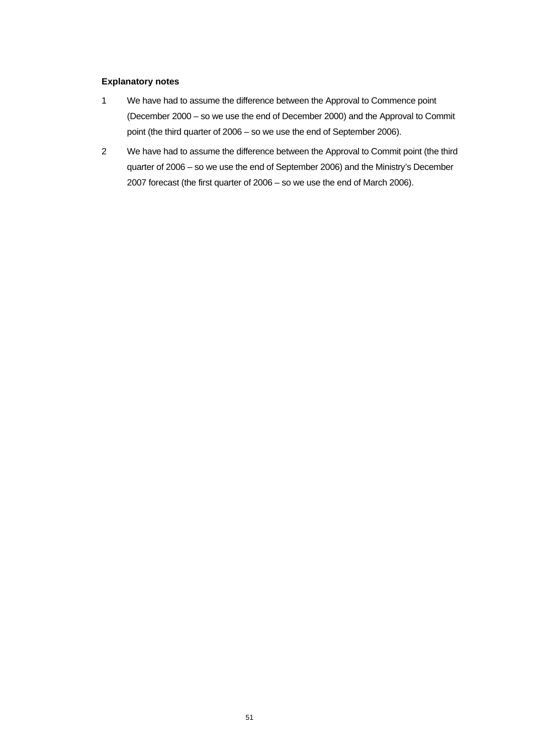#### **Explanatory notes**

- 1 We have had to assume the difference between the Approval to Commence point (December 2000 – so we use the end of December 2000) and the Approval to Commit point (the third quarter of 2006 – so we use the end of September 2006).
- 2 We have had to assume the difference between the Approval to Commit point (the third quarter of 2006 – so we use the end of September 2006) and the Ministry's December 2007 forecast (the first quarter of 2006 – so we use the end of March 2006).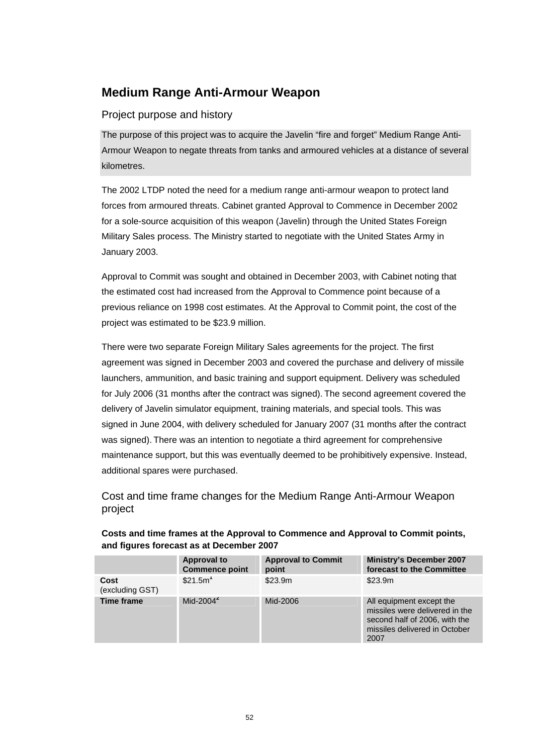# **Medium Range Anti-Armour Weapon**

### Project purpose and history

The purpose of this project was to acquire the Javelin "fire and forget" Medium Range Anti-Armour Weapon to negate threats from tanks and armoured vehicles at a distance of several kilometres.

The 2002 LTDP noted the need for a medium range anti-armour weapon to protect land forces from armoured threats. Cabinet granted Approval to Commence in December 2002 for a sole-source acquisition of this weapon (Javelin) through the United States Foreign Military Sales process. The Ministry started to negotiate with the United States Army in January 2003.

Approval to Commit was sought and obtained in December 2003, with Cabinet noting that the estimated cost had increased from the Approval to Commence point because of a previous reliance on 1998 cost estimates. At the Approval to Commit point, the cost of the project was estimated to be \$23.9 million.

There were two separate Foreign Military Sales agreements for the project. The first agreement was signed in December 2003 and covered the purchase and delivery of missile launchers, ammunition, and basic training and support equipment. Delivery was scheduled for July 2006 (31 months after the contract was signed). The second agreement covered the delivery of Javelin simulator equipment, training materials, and special tools. This was signed in June 2004, with delivery scheduled for January 2007 (31 months after the contract was signed). There was an intention to negotiate a third agreement for comprehensive maintenance support, but this was eventually deemed to be prohibitively expensive. Instead, additional spares were purchased.

Cost and time frame changes for the Medium Range Anti-Armour Weapon project

|                         | <b>Approval to</b>    | <b>Approval to Commit</b> | <b>Ministry's December 2007</b>                                                                                                      |
|-------------------------|-----------------------|---------------------------|--------------------------------------------------------------------------------------------------------------------------------------|
|                         | <b>Commence point</b> | point                     | forecast to the Committee                                                                                                            |
| Cost<br>(excluding GST) | \$21.5m <sup>1</sup>  | \$23.9m                   | \$23.9m                                                                                                                              |
| <b>Time frame</b>       | Mid-2004 $2$          | Mid-2006                  | All equipment except the<br>missiles were delivered in the<br>second half of 2006, with the<br>missiles delivered in October<br>2007 |

**Costs and time frames at the Approval to Commence and Approval to Commit points, and figures forecast as at December 2007**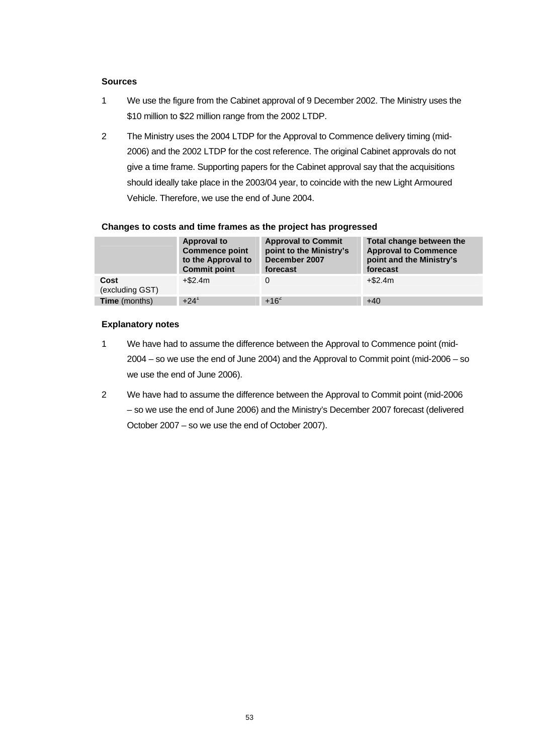#### **Sources**

- 1 We use the figure from the Cabinet approval of 9 December 2002. The Ministry uses the \$10 million to \$22 million range from the 2002 LTDP.
- 2 The Ministry uses the 2004 LTDP for the Approval to Commence delivery timing (mid-2006) and the 2002 LTDP for the cost reference. The original Cabinet approvals do not give a time frame. Supporting papers for the Cabinet approval say that the acquisitions should ideally take place in the 2003/04 year, to coincide with the new Light Armoured Vehicle. Therefore, we use the end of June 2004.

|                         | <b>Approval to</b><br><b>Commence point</b><br>to the Approval to<br><b>Commit point</b> | <b>Approval to Commit</b><br>point to the Ministry's<br>December 2007<br>forecast | Total change between the<br><b>Approval to Commence</b><br>point and the Ministry's<br>forecast |
|-------------------------|------------------------------------------------------------------------------------------|-----------------------------------------------------------------------------------|-------------------------------------------------------------------------------------------------|
| Cost<br>(excluding GST) | $+ $2.4m$                                                                                |                                                                                   | $+ $2.4m$                                                                                       |
| <b>Time</b> (months)    | $+24^1$                                                                                  | $+16^{2}$                                                                         | $+40$                                                                                           |

#### **Changes to costs and time frames as the project has progressed**

#### **Explanatory notes**

- 1 We have had to assume the difference between the Approval to Commence point (mid-2004 – so we use the end of June 2004) and the Approval to Commit point (mid-2006 – so we use the end of June 2006).
- 2 We have had to assume the difference between the Approval to Commit point (mid-2006 – so we use the end of June 2006) and the Ministry's December 2007 forecast (delivered October 2007 – so we use the end of October 2007).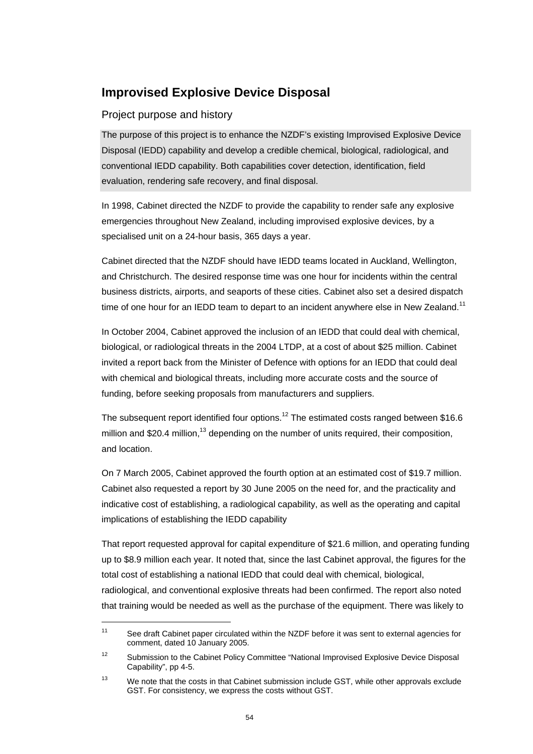# **Improvised Explosive Device Disposal**

### Project purpose and history

 $\overline{a}$ 

The purpose of this project is to enhance the NZDF's existing Improvised Explosive Device Disposal (IEDD) capability and develop a credible chemical, biological, radiological, and conventional IEDD capability. Both capabilities cover detection, identification, field evaluation, rendering safe recovery, and final disposal.

In 1998, Cabinet directed the NZDF to provide the capability to render safe any explosive emergencies throughout New Zealand, including improvised explosive devices, by a specialised unit on a 24-hour basis, 365 days a year.

Cabinet directed that the NZDF should have IEDD teams located in Auckland, Wellington, and Christchurch. The desired response time was one hour for incidents within the central business districts, airports, and seaports of these cities. Cabinet also set a desired dispatch time of one hour for an IEDD team to depart to an incident anywhere else in New Zealand.<sup>11</sup>

In October 2004, Cabinet approved the inclusion of an IEDD that could deal with chemical, biological, or radiological threats in the 2004 LTDP, at a cost of about \$25 million. Cabinet invited a report back from the Minister of Defence with options for an IEDD that could deal with chemical and biological threats, including more accurate costs and the source of funding, before seeking proposals from manufacturers and suppliers.

The subsequent report identified four options.<sup>12</sup> The estimated costs ranged between \$16.6 million and \$20.4 million,<sup>13</sup> depending on the number of units required, their composition, and location.

On 7 March 2005, Cabinet approved the fourth option at an estimated cost of \$19.7 million. Cabinet also requested a report by 30 June 2005 on the need for, and the practicality and indicative cost of establishing, a radiological capability, as well as the operating and capital implications of establishing the IEDD capability

That report requested approval for capital expenditure of \$21.6 million, and operating funding up to \$8.9 million each year. It noted that, since the last Cabinet approval, the figures for the total cost of establishing a national IEDD that could deal with chemical, biological, radiological, and conventional explosive threats had been confirmed. The report also noted that training would be needed as well as the purchase of the equipment. There was likely to

<sup>&</sup>lt;sup>11</sup> See draft Cabinet paper circulated within the NZDF before it was sent to external agencies for comment, dated 10 January 2005.

<sup>&</sup>lt;sup>12</sup> Submission to the Cabinet Policy Committee "National Improvised Explosive Device Disposal Capability", pp 4-5.

 $13$  We note that the costs in that Cabinet submission include GST, while other approvals exclude GST. For consistency, we express the costs without GST.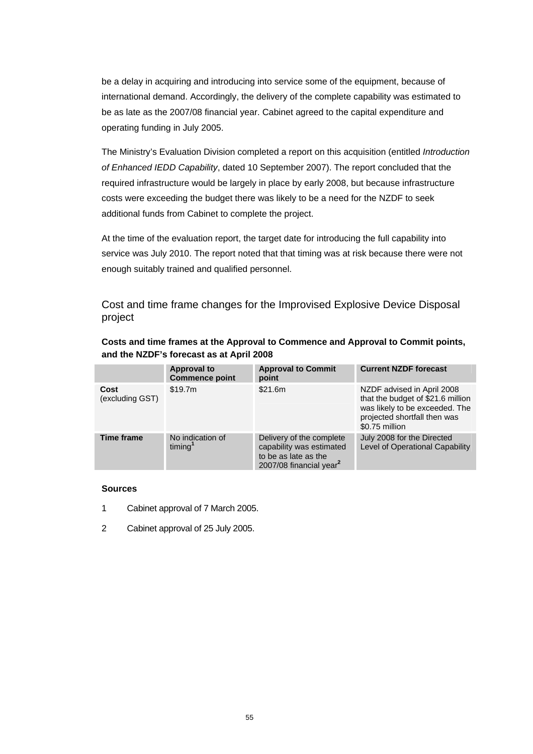be a delay in acquiring and introducing into service some of the equipment, because of international demand. Accordingly, the delivery of the complete capability was estimated to be as late as the 2007/08 financial year. Cabinet agreed to the capital expenditure and operating funding in July 2005.

The Ministry's Evaluation Division completed a report on this acquisition (entitled *Introduction of Enhanced IEDD Capability*, dated 10 September 2007). The report concluded that the required infrastructure would be largely in place by early 2008, but because infrastructure costs were exceeding the budget there was likely to be a need for the NZDF to seek additional funds from Cabinet to complete the project.

At the time of the evaluation report, the target date for introducing the full capability into service was July 2010. The report noted that that timing was at risk because there were not enough suitably trained and qualified personnel.

Cost and time frame changes for the Improvised Explosive Device Disposal project

| Costs and time frames at the Approval to Commence and Approval to Commit points, |
|----------------------------------------------------------------------------------|
| and the NZDF's forecast as at April 2008                                         |

|                         | <b>Approval to</b><br><b>Commence point</b> | <b>Approval to Commit</b><br>point                                                                                  | <b>Current NZDF forecast</b>                                                                                                                        |
|-------------------------|---------------------------------------------|---------------------------------------------------------------------------------------------------------------------|-----------------------------------------------------------------------------------------------------------------------------------------------------|
| Cost<br>(excluding GST) | \$19.7m                                     | \$21.6m                                                                                                             | NZDF advised in April 2008<br>that the budget of \$21.6 million<br>was likely to be exceeded. The<br>projected shortfall then was<br>\$0.75 million |
| <b>Time frame</b>       | No indication of<br>timing <sup>1</sup>     | Delivery of the complete<br>capability was estimated<br>to be as late as the<br>2007/08 financial year <sup>2</sup> | July 2008 for the Directed<br>Level of Operational Capability                                                                                       |

### **Sources**

- 1 Cabinet approval of 7 March 2005.
- 2 Cabinet approval of 25 July 2005.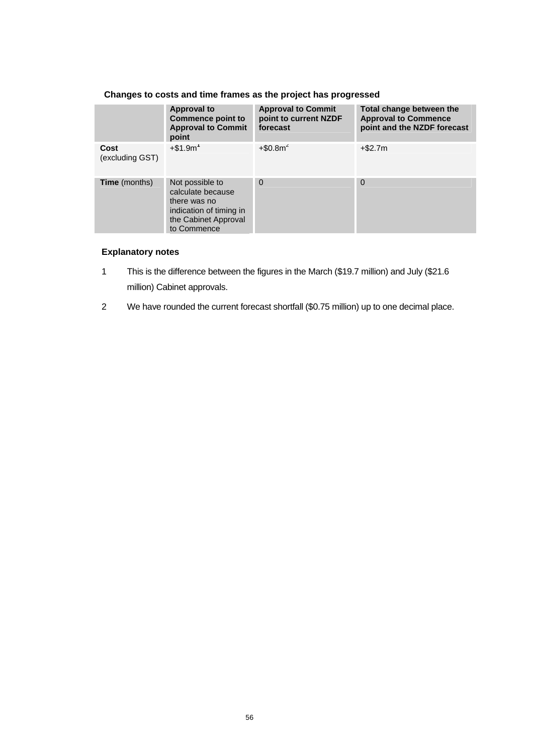|                         | <b>Approval to</b><br>Commence point to<br><b>Approval to Commit</b><br>point                                          | <b>Approval to Commit</b><br>point to current NZDF<br>forecast | Total change between the<br><b>Approval to Commence</b><br>point and the NZDF forecast |
|-------------------------|------------------------------------------------------------------------------------------------------------------------|----------------------------------------------------------------|----------------------------------------------------------------------------------------|
| Cost<br>(excluding GST) | $+$ \$1.9m <sup>1</sup>                                                                                                | $+$ \$0.8m <sup>2</sup>                                        | $+$ \$2.7m                                                                             |
| <b>Time</b> (months)    | Not possible to<br>calculate because<br>there was no<br>indication of timing in<br>the Cabinet Approval<br>to Commence | $\Omega$                                                       | $\Omega$                                                                               |

### **Changes to costs and time frames as the project has progressed**

### **Explanatory notes**

- 1 This is the difference between the figures in the March (\$19.7 million) and July (\$21.6 million) Cabinet approvals.
- 2 We have rounded the current forecast shortfall (\$0.75 million) up to one decimal place.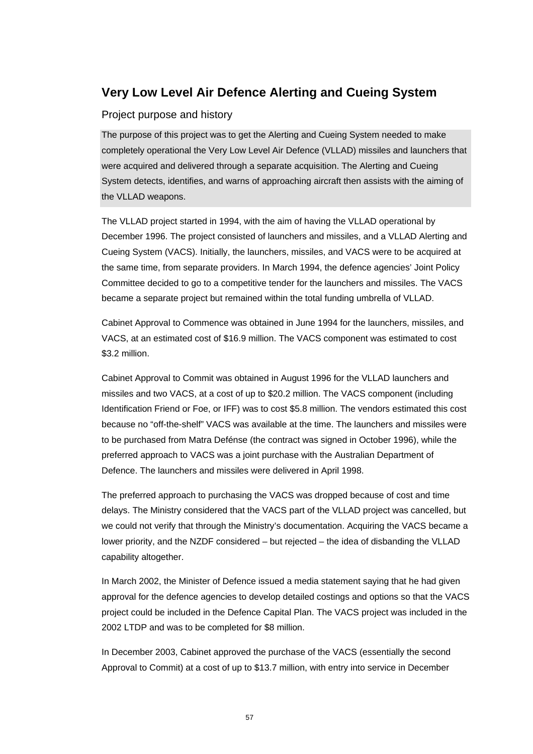# **Very Low Level Air Defence Alerting and Cueing System**

### Project purpose and history

The purpose of this project was to get the Alerting and Cueing System needed to make completely operational the Very Low Level Air Defence (VLLAD) missiles and launchers that were acquired and delivered through a separate acquisition. The Alerting and Cueing System detects, identifies, and warns of approaching aircraft then assists with the aiming of the VLLAD weapons.

The VLLAD project started in 1994, with the aim of having the VLLAD operational by December 1996. The project consisted of launchers and missiles, and a VLLAD Alerting and Cueing System (VACS). Initially, the launchers, missiles, and VACS were to be acquired at the same time, from separate providers. In March 1994, the defence agencies' Joint Policy Committee decided to go to a competitive tender for the launchers and missiles. The VACS became a separate project but remained within the total funding umbrella of VLLAD.

Cabinet Approval to Commence was obtained in June 1994 for the launchers, missiles, and VACS, at an estimated cost of \$16.9 million. The VACS component was estimated to cost \$3.2 million.

Cabinet Approval to Commit was obtained in August 1996 for the VLLAD launchers and missiles and two VACS, at a cost of up to \$20.2 million. The VACS component (including Identification Friend or Foe, or IFF) was to cost \$5.8 million. The vendors estimated this cost because no "off-the-shelf" VACS was available at the time. The launchers and missiles were to be purchased from Matra Defénse (the contract was signed in October 1996), while the preferred approach to VACS was a joint purchase with the Australian Department of Defence. The launchers and missiles were delivered in April 1998.

The preferred approach to purchasing the VACS was dropped because of cost and time delays. The Ministry considered that the VACS part of the VLLAD project was cancelled, but we could not verify that through the Ministry's documentation. Acquiring the VACS became a lower priority, and the NZDF considered – but rejected – the idea of disbanding the VLLAD capability altogether.

In March 2002, the Minister of Defence issued a media statement saying that he had given approval for the defence agencies to develop detailed costings and options so that the VACS project could be included in the Defence Capital Plan. The VACS project was included in the 2002 LTDP and was to be completed for \$8 million.

In December 2003, Cabinet approved the purchase of the VACS (essentially the second Approval to Commit) at a cost of up to \$13.7 million, with entry into service in December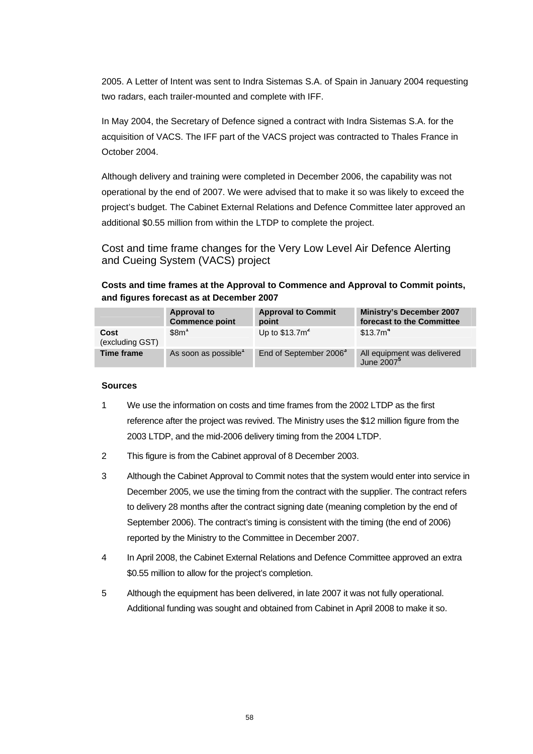2005. A Letter of Intent was sent to Indra Sistemas S.A. of Spain in January 2004 requesting two radars, each trailer-mounted and complete with IFF.

In May 2004, the Secretary of Defence signed a contract with Indra Sistemas S.A. for the acquisition of VACS. The IFF part of the VACS project was contracted to Thales France in October 2004.

Although delivery and training were completed in December 2006, the capability was not operational by the end of 2007. We were advised that to make it so was likely to exceed the project's budget. The Cabinet External Relations and Defence Committee later approved an additional \$0.55 million from within the LTDP to complete the project.

Cost and time frame changes for the Very Low Level Air Defence Alerting and Cueing System (VACS) project

### **Costs and time frames at the Approval to Commence and Approval to Commit points, and figures forecast as at December 2007**

|                         | <b>Approval to</b><br><b>Commence point</b> | <b>Approval to Commit</b><br>point | <b>Ministry's December 2007</b><br>forecast to the Committee |
|-------------------------|---------------------------------------------|------------------------------------|--------------------------------------------------------------|
| Cost<br>(excluding GST) | \$8m <sup>1</sup>                           | Up to $$13.7m2$                    | \$13.7m <sup>4</sup>                                         |
| Time frame              | As soon as possible <sup>1</sup>            | End of September 2006 <sup>3</sup> | All equipment was delivered<br>June 2007 <sup>5</sup>        |

### **Sources**

- 1 We use the information on costs and time frames from the 2002 LTDP as the first reference after the project was revived. The Ministry uses the \$12 million figure from the 2003 LTDP, and the mid-2006 delivery timing from the 2004 LTDP.
- 2 This figure is from the Cabinet approval of 8 December 2003.
- 3 Although the Cabinet Approval to Commit notes that the system would enter into service in December 2005, we use the timing from the contract with the supplier. The contract refers to delivery 28 months after the contract signing date (meaning completion by the end of September 2006). The contract's timing is consistent with the timing (the end of 2006) reported by the Ministry to the Committee in December 2007.
- 4 In April 2008, the Cabinet External Relations and Defence Committee approved an extra \$0.55 million to allow for the project's completion.
- 5 Although the equipment has been delivered, in late 2007 it was not fully operational. Additional funding was sought and obtained from Cabinet in April 2008 to make it so.